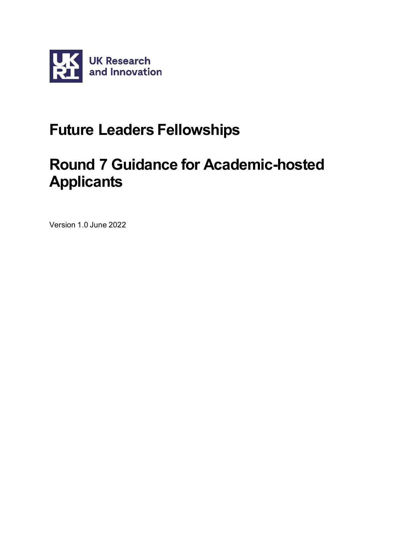

# **Future Leaders Fellowships**

# **Round 7 Guidance for Academic-hosted Applicants**

Version 1.0 June 2022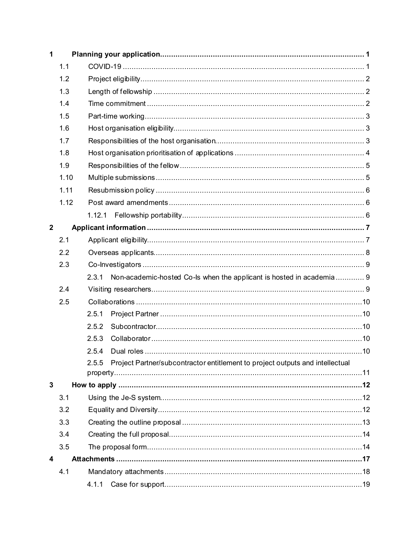| 1            |      |                                                                                        |  |
|--------------|------|----------------------------------------------------------------------------------------|--|
|              | 1.1  |                                                                                        |  |
|              | 1.2  |                                                                                        |  |
|              | 1.3  |                                                                                        |  |
|              | 1.4  |                                                                                        |  |
|              | 1.5  |                                                                                        |  |
|              | 1.6  |                                                                                        |  |
|              | 1.7  |                                                                                        |  |
|              | 1.8  |                                                                                        |  |
|              | 1.9  |                                                                                        |  |
|              | 1.10 |                                                                                        |  |
|              | 1.11 |                                                                                        |  |
|              | 1.12 |                                                                                        |  |
|              |      |                                                                                        |  |
| $\mathbf{2}$ |      |                                                                                        |  |
|              | 2.1  |                                                                                        |  |
|              | 2.2  |                                                                                        |  |
|              | 2.3  |                                                                                        |  |
|              |      | Non-academic-hosted Co-ls when the applicant is hosted in academia 9<br>2.3.1          |  |
|              | 2.4  |                                                                                        |  |
|              | 2.5  |                                                                                        |  |
|              |      | 2.5.1                                                                                  |  |
|              |      | 2.5.2                                                                                  |  |
|              |      | 2.5.3                                                                                  |  |
|              |      | 2.5.4                                                                                  |  |
|              |      | Project Partner/subcontractor entitlement to project outputs and intellectual<br>2.5.5 |  |
|              |      |                                                                                        |  |
| 3            |      |                                                                                        |  |
|              | 3.1  |                                                                                        |  |
|              | 3.2  |                                                                                        |  |
|              | 3.3  |                                                                                        |  |
|              | 3.4  |                                                                                        |  |
|              | 3.5  |                                                                                        |  |
| 4            |      |                                                                                        |  |
|              | 4.1  |                                                                                        |  |
|              |      | 4.1.1                                                                                  |  |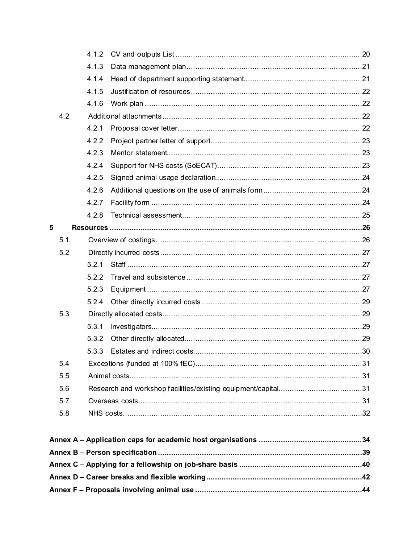|   |     | 4.1.2 |                                                             |    |
|---|-----|-------|-------------------------------------------------------------|----|
|   |     | 4.1.3 |                                                             |    |
|   |     | 4.1.4 |                                                             |    |
|   |     | 4.1.5 |                                                             |    |
|   |     | 4.1.6 |                                                             |    |
|   | 4.2 |       |                                                             |    |
|   |     | 4.2.1 |                                                             |    |
|   |     | 4.2.2 |                                                             |    |
|   |     | 4.2.3 |                                                             |    |
|   |     | 4.2.4 |                                                             |    |
|   |     | 4.2.5 |                                                             |    |
|   |     | 4.2.6 |                                                             |    |
|   |     | 4.2.7 |                                                             |    |
|   |     | 4.2.8 |                                                             |    |
| 5 |     |       |                                                             |    |
|   | 5.1 |       |                                                             |    |
|   | 5.2 |       |                                                             |    |
|   |     | 5.2.1 |                                                             |    |
|   |     | 5.2.2 |                                                             |    |
|   |     | 5.2.3 |                                                             |    |
|   |     | 5.2.4 |                                                             |    |
|   | 5.3 |       |                                                             |    |
|   |     | 5.3.1 |                                                             |    |
|   |     | 5.3.2 |                                                             |    |
|   |     | 5.3.3 |                                                             |    |
|   | 5.4 |       |                                                             |    |
|   | 5.5 |       |                                                             |    |
|   | 5.6 |       |                                                             |    |
|   | 5.7 |       |                                                             |    |
|   | 5.8 |       |                                                             |    |
|   |     |       |                                                             |    |
|   |     |       |                                                             |    |
|   |     |       |                                                             |    |
|   |     |       | Annex $C -$ Anniving for a fellowship on $i$ ob-share basis | 40 |

| Annex C – Applying for a fellowship on job-share basis …………………………………………………40 |  |
|------------------------------------------------------------------------------|--|
|                                                                              |  |
|                                                                              |  |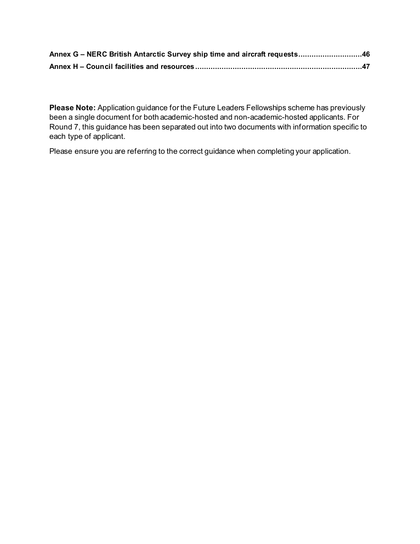| Annex G - NERC British Antarctic Survey ship time and aircraft requests46 |  |
|---------------------------------------------------------------------------|--|
|                                                                           |  |

**Please Note:** Application guidance for the Future Leaders Fellowships scheme has previously been a single document for both academic-hosted and non-academic-hosted applicants. For Round 7, this guidance has been separated out into two documents with information specific to each type of applicant.

Please ensure you are referring to the correct guidance when completing your application.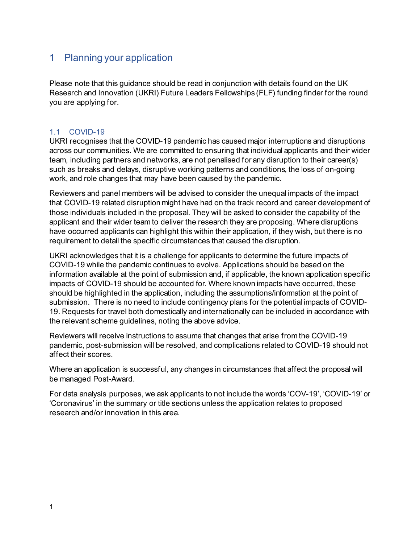# <span id="page-4-0"></span>1 Planning your application

Please note that this guidance should be read in conjunction with details found on the UK Research and Innovation (UKRI) Future Leaders Fellowships (FLF) funding finder for the round you are applying for.

# <span id="page-4-1"></span>1.1 COVID-19

UKRI recognises that the COVID-19 pandemic has caused major interruptions and disruptions across our communities. We are committed to ensuring that individual applicants and their wider team, including partners and networks, are not penalised for any disruption to their career(s) such as breaks and delays, disruptive working patterns and conditions, the loss of on-going work, and role changes that may have been caused by the pandemic.

Reviewers and panel members will be advised to consider the unequal impacts of the impact that COVID-19 related disruption might have had on the track record and career development of those individuals included in the proposal. They will be asked to consider the capability of the applicant and their wider team to deliver the research they are proposing. Where disruptions have occurred applicants can highlight this within their application, if they wish, but there is no requirement to detail the specific circumstances that caused the disruption.

UKRI acknowledges that it is a challenge for applicants to determine the future impacts of COVID-19 while the pandemic continues to evolve. Applications should be based on the information available at the point of submission and, if applicable, the known application specific impacts of COVID-19 should be accounted for. Where known impacts have occurred, these should be highlighted in the application, including the assumptions/information at the point of submission. There is no need to include contingency plans for the potential impacts of COVID-19. Requests for travel both domestically and internationally can be included in accordance with the relevant scheme guidelines, noting the above advice.

Reviewers will receive instructions to assume that changes that arise from the COVID-19 pandemic, post-submission will be resolved, and complications related to COVID-19 should not affect their scores.

Where an application is successful, any changes in circumstances that affect the proposal will be managed Post-Award.

For data analysis purposes, we ask applicants to not include the words 'COV-19', 'COVID-19' or 'Coronavirus' in the summary or title sections unless the application relates to proposed research and/or innovation in this area.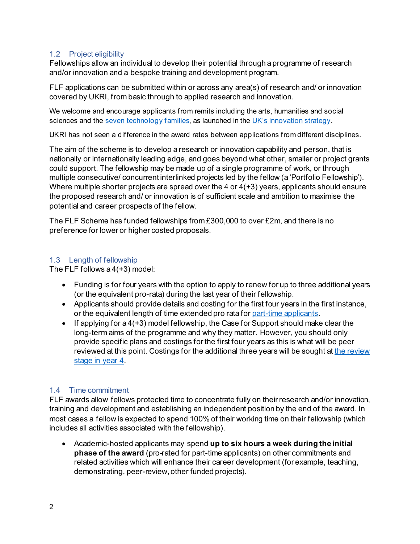#### <span id="page-5-0"></span>1.2 Project eligibility

Fellowships allow an individual to develop their potential through a programme of research and/or innovation and a bespoke training and development program.

FLF applications can be submitted within or across any area(s) of research and/ or innovation covered by UKRI, from basic through to applied research and innovation.

We welcome and encourage applicants from remits including the arts, humanities and social sciences and the [seven technology families,](https://www.ukri.org/blog/the-other-magnificent-seven/) as launched in the [UK's innovation strategy.](https://gbr01.safelinks.protection.outlook.com/?url=https%3A%2F%2Fwww.gov.uk%2Fgovernment%2Fpublications%2Fuk-innovation-strategy-leading-the-future-by-creating-it&data=05%7C01%7CMartin.French%40ukri.org%7Cbdb8b192c5cc4a311ca908da371345f0%7C8bb7e08edaa44a8e927efca38db04b7e%7C0%7C0%7C637882853150285414%7CUnknown%7CTWFpbGZsb3d8eyJWIjoiMC4wLjAwMDAiLCJQIjoiV2luMzIiLCJBTiI6Ik1haWwiLCJXVCI6Mn0%3D%7C3000%7C%7C%7C&sdata=RVThrJzLgB4%2BSU2HkkLgIQr%2B%2F59QdoQJf%2FFSh3oAIbU%3D&reserved=0)

UKRI has not seen a difference in the award rates between applications from different disciplines.

The aim of the scheme is to develop a research or innovation capability and person, that is nationally or internationally leading edge, and goes beyond what other, smaller or project grants could support. The fellowship may be made up of a single programme of work, or through multiple consecutive/ concurrent interlinked projects led by the fellow (a 'Portfolio Fellowship'). Where multiple shorter projects are spread over the 4 or  $4(+3)$  years, applicants should ensure the proposed research and/ or innovation is of sufficient scale and ambition to maximise the potential and career prospects of the fellow.

The FLF Scheme has funded fellowships from £300,000 to over £2m, and there is no preference for lower or higher costed proposals.

# <span id="page-5-1"></span>1.3 Length of fellowship

The FLF follows a 4(+3) model:

- Funding is for four years with the option to apply to renew for up to three additional years (or the equivalent pro-rata) during the last year of their fellowship.
- Applicants should provide details and costing for the first four years in the first instance, or the equivalent length of time extended pro rata for part-time applicants.
- If applying for a  $4(+3)$  model fellowship, the Case for Support should make clear the long-term aims of the programme and why they matter. However, you should only provide specific plans and costings for the first four years as this is what will be peer reviewed at this point. Costings for the additional three years will be sought at the review [stage in year 4.](https://www.ukri.org/what-we-offer/developing-people-and-skills/future-leaders-fellowships/future-leaders-fellowships-guidance/renewal-scheme-for-current-future-leaders-fellows/)

# <span id="page-5-2"></span>1.4 Time commitment

FLF awards allow fellows protected time to concentrate fully on their research and/or innovation, training and development and establishing an independent position by the end of the award. In most cases a fellow is expected to spend 100% of their working time on their fellowship (which includes all activities associated with the fellowship).

• Academic-hosted applicants may spend **up to six hours a week during the initial phase of the award** (pro-rated for part-time applicants) on other commitments and related activities which will enhance their career development (for example, teaching, demonstrating, peer-review, other funded projects).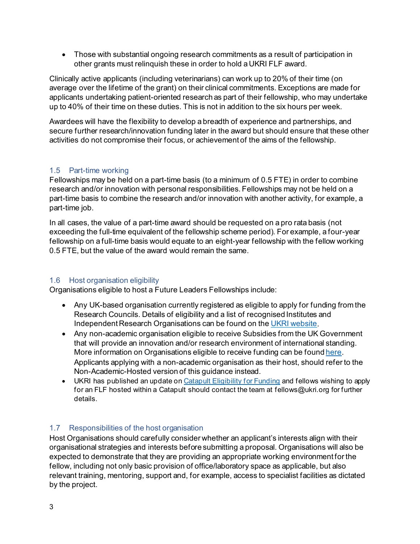• Those with substantial ongoing research commitments as a result of participation in other grants must relinquish these in order to hold a UKRI FLF award.

Clinically active applicants (including veterinarians) can work up to 20% of their time (on average over the lifetime of the grant) on their clinical commitments. Exceptions are made for applicants undertaking patient-oriented research as part of their fellowship, who may undertake up to 40% of their time on these duties. This is not in addition to the six hours per week.

Awardees will have the flexibility to develop a breadth of experience and partnerships, and secure further research/innovation funding later in the award but should ensure that these other activities do not compromise their focus, or achievement of the aims of the fellowship.

# <span id="page-6-0"></span>1.5 Part-time working

Fellowships may be held on a part-time basis (to a minimum of 0.5 FTE) in order to combine research and/or innovation with personal responsibilities. Fellowships may not be held on a part-time basis to combine the research and/or innovation with another activity, for example, a part-time job.

In all cases, the value of a part-time award should be requested on a pro rata basis (not exceeding the full-time equivalent of the fellowship scheme period). For example, a four-year fellowship on a full-time basis would equate to an eight-year fellowship with the fellow working 0.5 FTE, but the value of the award would remain the same.

# <span id="page-6-1"></span>1.6 Host organisation eligibility

Organisations eligible to host a Future Leaders Fellowships include:

- Any UK-based organisation currently registered as eligible to apply for funding from the Research Councils. Details of eligibility and a list of recognised Institutes and Independent Research Organisations can be found on th[e UKRI website](https://www.ukri.org/apply-for-funding/before-you-apply/check-if-you-are-eligible-for-research-and-innovation-funding/).
- Any non-academic organisation eligible to receive Subsidies from the UK Government that will provide an innovation and/or research environment of international standing. More information on Organisations eligible to receive funding can be foun[d here](https://www.ukri.org/apply-for-funding/before-you-apply/check-if-you-are-eligible-for-research-and-innovation-funding/who-can-apply-for-funding/). Applicants applying with a non-academic organisation as their host, should refer to the Non-Academic-Hosted version of this guidance instead.
- UKRI has published an update on [Catapult Eligibility for Funding](https://www.ukri.org/news/catapult-eligibility-for-funding/) and fellows wishing to apply for an FLF hosted within a Catapult should contact the team at fellows@ukri.org for further details.

# <span id="page-6-2"></span>1.7 Responsibilities of the host organisation

Host Organisations should carefully consider whether an applicant's interests align with their organisational strategies and interests before submitting a proposal. Organisations will also be expected to demonstrate that they are providing an appropriate working environment for the fellow, including not only basic provision of office/laboratory space as applicable, but also relevant training, mentoring, support and, for example, access to specialist facilities as dictated by the project.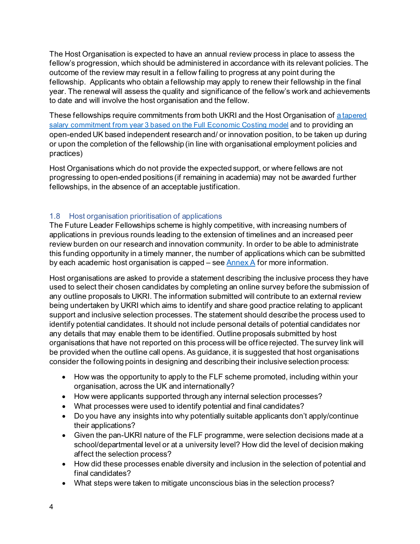The Host Organisation is expected to have an annual review process in place to assess the fellow's progression, which should be administered in accordance with its relevant policies. The outcome of the review may result in a fellow failing to progress at any point during the fellowship. Applicants who obtain a fellowship may apply to renew their fellowship in the final year. The renewal will assess the quality and significance of the fellow's work and achievements to date and will involve the host organisation and the fellow.

These fellowships require commitments from both UKRI and the Host Organisation of [a tapered](#page-29-1)  [salary commitment from year 3 based on](#page-29-1) the Full Economic Costing model and to providing an open-ended UK based independent research and/ or innovation position, to be taken up during or upon the completion of the fellowship (in line with organisational employment policies and practices)

Host Organisations which do not provide the expected support, or where fellows are not progressing to open-ended positions (if remaining in academia) may not be awarded further fellowships, in the absence of an acceptable justification.

# <span id="page-7-0"></span>1.8 Host organisation prioritisation of applications

The Future Leader Fellowships scheme is highly competitive, with increasing numbers of applications in previous rounds leading to the extension of timelines and an increased peer review burden on our research and innovation community. In order to be able to administrate this funding opportunity in a timely manner, the number of applications which can be submitted by each academic host organisation is capped – see [Annex A](#page-37-0) for more information.

Host organisations are asked to provide a statement describing the inclusive process they have used to select their chosen candidates by completing an online survey before the submission of any outline proposals to UKRI. The information submitted will contribute to an external review being undertaken by UKRI which aims to identify and share good practice relating to applicant support and inclusive selection processes. The statement should describe the process used to identify potential candidates. It should not include personal details of potential candidates nor any details that may enable them to be identified. Outline proposals submitted by host organisations that have not reported on this process will be office rejected. The survey link will be provided when the outline call opens. As guidance, it is suggested that host organisations consider the following points in designing and describing their inclusive selection process:

- How was the opportunity to apply to the FLF scheme promoted, including within your organisation, across the UK and internationally?
- How were applicants supported through any internal selection processes?
- What processes were used to identify potential and final candidates?
- Do you have any insights into why potentially suitable applicants don't apply/continue their applications?
- Given the pan-UKRI nature of the FLF programme, were selection decisions made at a school/departmental level or at a university level? How did the level of decision making affect the selection process?
- How did these processes enable diversity and inclusion in the selection of potential and final candidates?
- What steps were taken to mitigate unconscious bias in the selection process?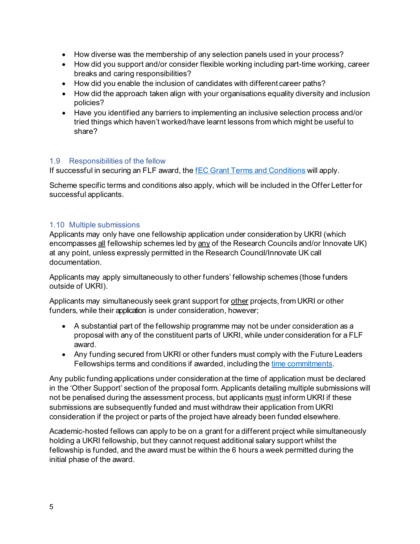- How diverse was the membership of any selection panels used in your process?
- How did you support and/or consider flexible working including part-time working, career breaks and caring responsibilities?
- How did you enable the inclusion of candidates with different career paths?
- How did the approach taken align with your organisations equality diversity and inclusion policies?
- Have you identified any barriers to implementing an inclusive selection process and/or tried things which haven't worked/have learnt lessons from which might be useful to share?

#### <span id="page-8-0"></span>1.9 Responsibilities of the fellow

If successful in securing an FLF award, th[e fEC Grant Terms and Conditions](https://www.ukri.org/manage-your-award/meeting-ukri-terms-and-conditions-for-funding/) will apply.

Scheme specific terms and conditions also apply, which will be included in the Offer Letter for successful applicants.

#### <span id="page-8-1"></span>1.10 Multiple submissions

Applicants may only have one fellowship application under consideration by UKRI (which encompasses all fellowship schemes led by any of the Research Councils and/or Innovate UK) at any point, unless expressly permitted in the Research Council/Innovate UK call documentation.

Applicants may apply simultaneously to other funders' fellowship schemes (those funders outside of UKRI).

Applicants may simultaneously seek grant support for other projects, from UKRI or other funders, while their application is under consideration, however;

- A substantial part of the fellowship programme may not be under consideration as a proposal with any of the constituent parts of UKRI, while under consideration for a FLF award.
- Any funding secured from UKRI or other funders must comply with the Future Leaders Fellowships terms and conditions if awarded, including th[e time commitments.](#page-5-2)

Any public funding applications under consideration at the time of application must be declared in the 'Other Support' section of the proposal form. Applicants detailing multiple submissions will not be penalised during the assessment process, but applicants must inform UKRI if these submissions are subsequently funded and must withdraw their application from UKRI consideration if the project or parts of the project have already been funded elsewhere.

Academic-hosted fellows can apply to be on a grant for a different project while simultaneously holding a UKRI fellowship, but they cannot request additional salary support whilst the fellowship is funded, and the award must be within the 6 hours a week permitted during the initial phase of the award.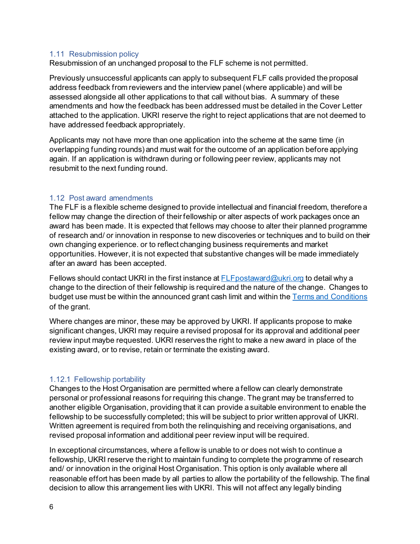#### <span id="page-9-0"></span>1.11 Resubmission policy

Resubmission of an unchanged proposal to the FLF scheme is not permitted.

Previously unsuccessful applicants can apply to subsequent FLF calls provided the proposal address feedback from reviewers and the interview panel (where applicable) and will be assessed alongside all other applications to that call without bias. A summary of these amendments and how the feedback has been addressed must be detailed in the Cover Letter attached to the application. UKRI reserve the right to reject applications that are not deemed to have addressed feedback appropriately.

Applicants may not have more than one application into the scheme at the same time (in overlapping funding rounds) and must wait for the outcome of an application before applying again. If an application is withdrawn during or following peer review, applicants may not resubmit to the next funding round.

#### <span id="page-9-1"></span>1.12 Post award amendments

The FLF is a flexible scheme designed to provide intellectual and financial freedom, therefore a fellow may change the direction of their fellowship or alter aspects of work packages once an award has been made. It is expected that fellows may choose to alter their planned programme of research and/ or innovation in response to new discoveries or techniques and to build on their own changing experience. or to reflect changing business requirements and market opportunities. However, it is not expected that substantive changes will be made immediately after an award has been accepted.

Fellows should contact UKRI in the first instance at  $FLF$  postaward@ukri.org to detail why a change to the direction of their fellowship is required and the nature of the change. Changes to budget use must be within the announced grant cash limit and within the [Terms and Conditions](https://www.ukri.org/publications/terms-and-conditions-for-research-grants/) of the grant.

Where changes are minor, these may be approved by UKRI. If applicants propose to make significant changes, UKRI may require a revised proposal for its approval and additional peer review input maybe requested. UKRI reserves the right to make a new award in place of the existing award, or to revise, retain or terminate the existing award.

#### <span id="page-9-2"></span>1.12.1 Fellowship portability

Changes to the Host Organisation are permitted where a fellow can clearly demonstrate personal or professional reasons for requiring this change. The grant may be transferred to another eligible Organisation, providing that it can provide a suitable environment to enable the fellowship to be successfully completed; this will be subject to prior written approval of UKRI. Written agreement is required from both the relinquishing and receiving organisations, and revised proposal information and additional peer review input will be required.

In exceptional circumstances, where a fellow is unable to or does not wish to continue a fellowship, UKRI reserve the right to maintain funding to complete the programme of research and/ or innovation in the original Host Organisation. This option is only available where all reasonable effort has been made by all parties to allow the portability of the fellowship. The final decision to allow this arrangement lies with UKRI. This will not affect any legally binding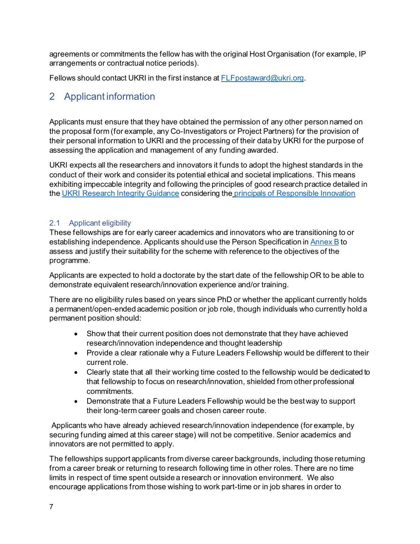agreements or commitments the fellow has with the original Host Organisation (for example, IP arrangements or contractual notice periods).

Fellows should contact UKRI in the first instance at **FLF** postaward@ukri.org.

# <span id="page-10-0"></span>2 Applicant information

Applicants must ensure that they have obtained the permission of any other person named on the proposal form (for example, any Co-Investigators or Project Partners) for the provision of their personal information to UKRI and the processing of their data by UKRI for the purpose of assessing the application and management of any funding awarded.

UKRI expects all the researchers and innovators it funds to adopt the highest standards in the conduct of their work and consider its potential ethical and societal implications. This means exhibiting impeccable integrity and following the principles of good research practice detailed in the [UKRI Research Integrity Guidance](https://www.ukri.org/about-us/policies-standards-and-data/good-research-resource-hub/research-integrity/) considering the [principals of Responsible Innovation](https://gbr01.safelinks.protection.outlook.com/?url=https%3A%2F%2Fwww.ukri.org%2Fabout-us%2Fpolicies-standards-and-data%2Fgood-research-resource-hub%2Fresponsible-innovation%2F&data=05%7C01%7CRosanna.Peacock%40ukri.org%7C4766924d25bd412fcc0208da48634d3e%7C8bb7e08edaa44a8e927efca38db04b7e%7C0%7C0%7C637901888582589590%7CUnknown%7CTWFpbGZsb3d8eyJWIjoiMC4wLjAwMDAiLCJQIjoiV2luMzIiLCJBTiI6Ik1haWwiLCJXVCI6Mn0%3D%7C3000%7C%7C%7C&sdata=mlsCXeEpgVPhUzglX5v8hX7XzbqupevaokeBHLhv57o%3D&reserved=0)

# <span id="page-10-1"></span>2.1 Applicant eligibility

These fellowships are for early career academics and innovators who are transitioning to or establishing independence. Applicants should use the Person Specification i[n Annex B](#page-42-0) to assess and justify their suitability for the scheme with reference to the objectives of the programme.

Applicants are expected to hold a doctorate by the start date of the fellowship OR to be able to demonstrate equivalent research/innovation experience and/or training.

There are no eligibility rules based on years since PhD or whether the applicant currently holds a permanent/open-ended academic position or job role, though individuals who currently hold a permanent position should:

- Show that their current position does not demonstrate that they have achieved research/innovation independence and thought leadership
- Provide a clear rationale why a Future Leaders Fellowship would be different to their current role.
- Clearly state that all their working time costed to the fellowship would be dedicated to that fellowship to focus on research/innovation, shielded from other professional commitments.
- Demonstrate that a Future Leaders Fellowship would be the best way to support their long-term career goals and chosen career route.

Applicants who have already achieved research/innovation independence (for example, by securing funding aimed at this career stage) will not be competitive. Senior academics and innovators are not permitted to apply.

The fellowships support applicants from diverse career backgrounds, including those returning from a career break or returning to research following time in other roles. There are no time limits in respect of time spent outside a research or innovation environment. We also encourage applications from those wishing to work part-time or in job shares in order to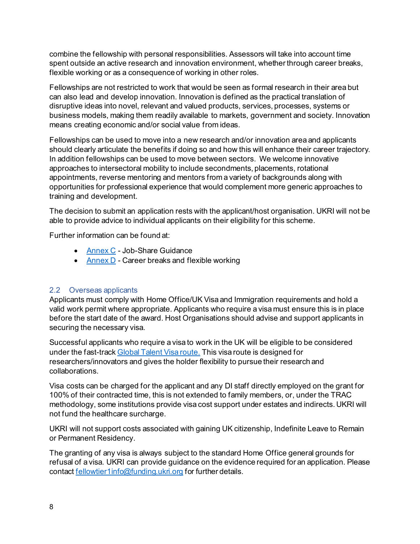combine the fellowship with personal responsibilities. Assessors will take into account time spent outside an active research and innovation environment, whether through career breaks, flexible working or as a consequence of working in other roles.

Fellowships are not restricted to work that would be seen as formal research in their area but can also lead and develop innovation. Innovation is defined as the practical translation of disruptive ideas into novel, relevant and valued products, services, processes, systems or business models, making them readily available to markets, government and society. Innovation means creating economic and/or social value from ideas.

Fellowships can be used to move into a new research and/or innovation area and applicants should clearly articulate the benefits if doing so and how this will enhance their career trajectory. In addition fellowships can be used to move between sectors. We welcome innovative approaches to intersectoral mobility to include secondments, placements, rotational appointments, reverse mentoring and mentors from a variety of backgrounds along with opportunities for professional experience that would complement more generic approaches to training and development.

The decision to submit an application rests with the applicant/host organisation. UKRI will not be able to provide advice to individual applicants on their eligibility for this scheme.

Further information can be found at:

- [Annex C](#page-43-0) Job-Share Guidance
- [Annex D](#page-45-0) Career breaks and flexible working

# <span id="page-11-0"></span>2.2 Overseas applicants

Applicants must comply with Home Office/UK Visa and Immigration requirements and hold a valid work permit where appropriate. Applicants who require a visa must ensure this is in place before the start date of the award. Host Organisations should advise and support applicants in securing the necessary visa.

Successful applicants who require a visa to work in the UK will be eligible to be considered under the fast-trac[k Global Talent Visa route.](https://www.ukri.org/our-work/collaborating-internationally/get-funding-and-visas-to-do-research-in-the-uk/) This visa route is designed for researchers/innovators and gives the holder flexibility to pursue their research and collaborations.

Visa costs can be charged for the applicant and any DI staff directly employed on the grant for 100% of their contracted time, this is not extended to family members, or, under the TRAC methodology, some institutions provide visa cost support under estates and indirects. UKRI will not fund the healthcare surcharge.

UKRI will not support costs associated with gaining UK citizenship, Indefinite Leave to Remain or Permanent Residency.

The granting of any visa is always subject to the standard Home Office general grounds for refusal of a visa. UKRI can provide guidance on the evidence required for an application. Please contact [fellowtier1info@funding.ukri.org](mailto:fellowtier1info@funding.ukri.org) for further details.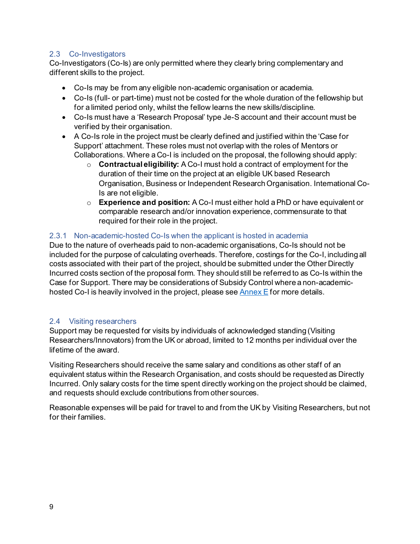#### <span id="page-12-0"></span>2.3 Co-Investigators

Co-Investigators (Co-Is) are only permitted where they clearly bring complementary and different skills to the project.

- Co-Is may be from any eligible non-academic organisation or academia.
- Co-Is (full- or part-time) must not be costed for the whole duration of the fellowship but for a limited period only, whilst the fellow learns the new skills/discipline.
- Co-Is must have a 'Research Proposal' type Je-S account and their account must be verified by their organisation.
- A Co-Is role in the project must be clearly defined and justified within the 'Case for Support' attachment. These roles must not overlap with the roles of Mentors or Collaborations. Where a Co-I is included on the proposal, the following should apply:
	- o **Contractual eligibility:** A Co-I must hold a contract of employment for the duration of their time on the project at an eligible UK based Research Organisation, Business or Independent Research Organisation. International Co-Is are not eligible.
	- o **Experience and position:** A Co-I must either hold a PhD or have equivalent or comparable research and/or innovation experience, commensurate to that required for their role in the project.

#### <span id="page-12-1"></span>2.3.1 Non-academic-hosted Co-Is when the applicant is hosted in academia

Due to the nature of overheads paid to non-academic organisations, Co-Is should not be included for the purpose of calculating overheads. Therefore, costings for the Co-I, including all costs associated with their part of the project, should be submitted under the Other Directly Incurred costs section of the proposal form. They should still be referred to as Co-Is within the Case for Support. There may be considerations of Subsidy Control where a non-academichosted Co-I is heavily involved in the project, please see  $\frac{\text{Annex}}{\text{E}}$  for more details.

#### <span id="page-12-2"></span>2.4 Visiting researchers

Support may be requested for visits by individuals of acknowledged standing (Visiting Researchers/Innovators) from the UK or abroad, limited to 12 months per individual over the lifetime of the award.

Visiting Researchers should receive the same salary and conditions as other staff of an equivalent status within the Research Organisation, and costs should be requested as Directly Incurred. Only salary costs for the time spent directly working on the project should be claimed, and requests should exclude contributions from other sources.

Reasonable expenses will be paid for travel to and from the UK by Visiting Researchers, but not for their families.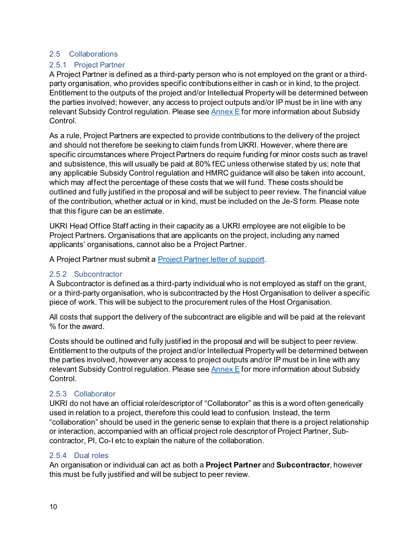#### <span id="page-13-0"></span>2.5 Collaborations

### <span id="page-13-1"></span>2.5.1 Project Partner

A Project Partner is defined as a third-party person who is not employed on the grant or a thirdparty organisation, who provides specific contributions either in cash or in kind, to the project. Entitlement to the outputs of the project and/or Intellectual Property will be determined between the parties involved; however, any access to project outputs and/or IP must be in line with any relevant Subsidy Control regulation. Please see  $\frac{\text{Annex}}{\text{E}}$  for more information about Subsidy Control.

As a rule, Project Partners are expected to provide contributions to the delivery of the project and should not therefore be seeking to claim funds from UKRI. However, where there are specific circumstances where Project Partners do require funding for minor costs such as travel and subsistence, this will usually be paid at 80% fEC unless otherwise stated by us; note that any applicable Subsidy Control regulation and HMRC guidance will also be taken into account, which may affect the percentage of these costs that we will fund. These costs should be outlined and fully justified in the proposal and will be subject to peer review. The financial value of the contribution, whether actual or in kind, must be included on the Je-S form. Please note that this figure can be an estimate.

UKRI Head Office Staff acting in their capacity as a UKRI employee are not eligible to be Project Partners. Organisations that are applicants on the project, including any named applicants' organisations, cannot also be a Project Partner.

A Project Partner must submit a **Project Partner [letter of support](#page-26-0)**.

#### <span id="page-13-2"></span>2.5.2 Subcontractor

A Subcontractor is defined as a third-party individual who is not employed as staff on the grant, or a third-party organisation, who is subcontracted by the Host Organisation to deliver a specific piece of work. This will be subject to the procurement rules of the Host Organisation.

All costs that support the delivery of the subcontract are eligible and will be paid at the relevant % for the award.

Costs should be outlined and fully justified in the proposal and will be subject to peer review. Entitlement to the outputs of the project and/or Intellectual Property will be determined between the parties involved, however any access to project outputs and/or IP must be in line with any relevant Subsidy Control regulation. Please se[e Annex E](#page-47-1) for more information about Subsidy Control.

#### <span id="page-13-3"></span>2.5.3 Collaborator

UKRI do not have an official role/descriptor of "Collaborator" as this is a word often generically used in relation to a project, therefore this could lead to confusion. Instead, the term "collaboration" should be used in the generic sense to explain that there is a project relationship or interaction, accompanied with an official project role descriptor of Project Partner, Subcontractor, PI, Co-I etc to explain the nature of the collaboration.

#### <span id="page-13-4"></span>2.5.4 Dual roles

An organisation or individual can act as both a **Project Partner** and **Subcontractor**, however this must be fully justified and will be subject to peer review.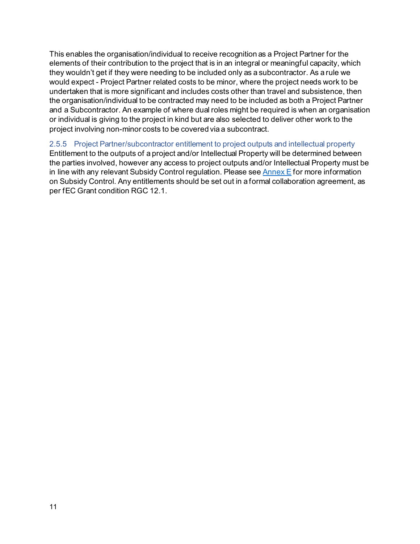This enables the organisation/individual to receive recognition as a Project Partner for the elements of their contribution to the project that is in an integral or meaningful capacity, which they wouldn't get if they were needing to be included only as a subcontractor. As a rule we would expect - Project Partner related costs to be minor, where the project needs work to be undertaken that is more significant and includes costs other than travel and subsistence, then the organisation/individual to be contracted may need to be included as both a Project Partner and a Subcontractor. An example of where dual roles might be required is when an organisation or individual is giving to the project in kind but are also selected to deliver other work to the project involving non-minor costs to be covered via a subcontract.

### <span id="page-14-0"></span>2.5.5 Project Partner/subcontractor entitlement to project outputs and intellectual property Entitlement to the outputs of a project and/or Intellectual Property will be determined between the parties involved, however any access to project outputs and/or Intellectual Property must be in line with any relevant Subsidy Control regulation. Please se[e Annex E](#page-47-1) for more information on Subsidy Control. Any entitlements should be set out in a formal collaboration agreement, as per fEC Grant condition RGC 12.1.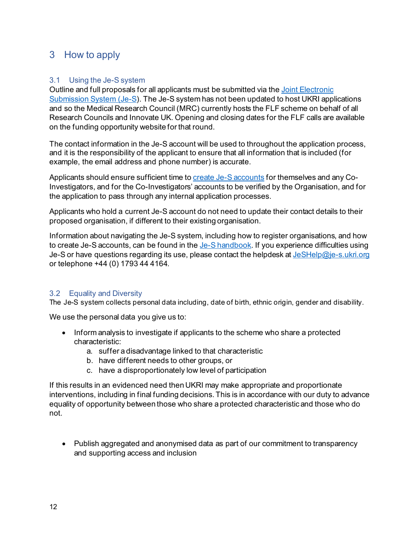# <span id="page-15-0"></span>3 How to apply

#### <span id="page-15-1"></span>3.1 Using the Je-S system

Outline and full proposals for all applicants must be submitted via the [Joint Electronic](https://je-s.rcuk.ac.uk/)  [Submission System \(Je-S\)](https://je-s.rcuk.ac.uk/). The Je-S system has not been updated to host UKRI applications and so the Medical Research Council (MRC) currently hosts the FLF scheme on behalf of all Research Councils and Innovate UK. Opening and closing dates for the FLF calls are available on the funding opportunity website for that round.

The contact information in the Je-S account will be used to throughout the application process, and it is the responsibility of the applicant to ensure that all information that is included (for example, the email address and phone number) is accurate.

Applicants should ensure sufficient time t[o create Je-S accounts](https://je-s.rcuk.ac.uk/Handbook/pages/SettingupaJeSaccount/SettingupaJeSaccount.htm) for themselves and any Co-Investigators, and for the Co-Investigators' accounts to be verified by the Organisation, and for the application to pass through any internal application processes.

Applicants who hold a current Je-S account do not need to update their contact details to their proposed organisation, if different to their existing organisation.

Information about navigating the Je-S system, including how to register organisations, and how to create Je-S accounts, can be found in th[e Je-S handbook.](https://je-s.rcuk.ac.uk/Handbook/index.htm) If you experience difficulties using Je-S or have questions regarding its use, please contact the helpdesk a[t JeSHelp@je-s.ukri.org](mailto:JeSHelp@je-s.ukri.org) or telephone +44 (0) 1793 44 4164.

# <span id="page-15-2"></span>3.2 Equality and Diversity

The Je-S system collects personal data including, date of birth, ethnic origin, gender and disability.

We use the personal data you give us to:

- Inform analysis to investigate if applicants to the scheme who share a protected characteristic:
	- a. suffer a disadvantage linked to that characteristic
	- b. have different needs to other groups, or
	- c. have a disproportionately low level of participation

If this results in an evidenced need then UKRI may make appropriate and proportionate interventions, including in final funding decisions. This is in accordance with our duty to advance equality of opportunity between those who share a protected characteristic and those who do not.

• Publish aggregated and anonymised data as part of our commitment to transparency and supporting access and inclusion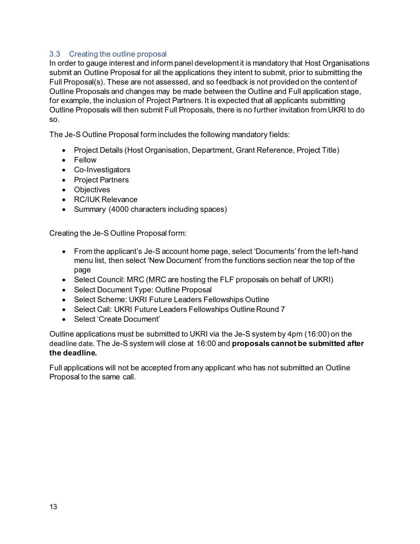### <span id="page-16-0"></span>3.3 Creating the outline proposal

In order to gauge interest and inform panel development it is mandatory that Host Organisations submit an Outline Proposal for all the applications they intent to submit, prior to submitting the Full Proposal(s). These are not assessed, and so feedback is not provided on the content of Outline Proposals and changes may be made between the Outline and Full application stage, for example, the inclusion of Project Partners. It is expected that all applicants submitting Outline Proposals will then submit Full Proposals, there is no further invitation from UKRI to do so.

The Je-S Outline Proposal form includes the following mandatory fields:

- Project Details (Host Organisation, Department, Grant Reference, Project Title)
- Fellow
- Co-Investigators
- Project Partners
- Objectives
- RC/IUK Relevance
- Summary (4000 characters including spaces)

Creating the Je-S Outline Proposal form:

- From the applicant's Je-S account home page, select 'Documents' from the left-hand menu list, then select 'New Document' from the functions section near the top of the page
- Select Council: MRC (MRC are hosting the FLF proposals on behalf of UKRI)
- Select Document Type: Outline Proposal
- Select Scheme: UKRI Future Leaders Fellowships Outline
- Select Call: UKRI Future Leaders Fellowships Outline Round 7
- Select 'Create Document'

Outline applications must be submitted to UKRI via the Je-S system by 4pm (16:00) on the deadline date. The Je-S system will close at 16:00 and **proposals cannot be submitted after the deadline.**

Full applications will not be accepted from any applicant who has not submitted an Outline Proposal to the same call.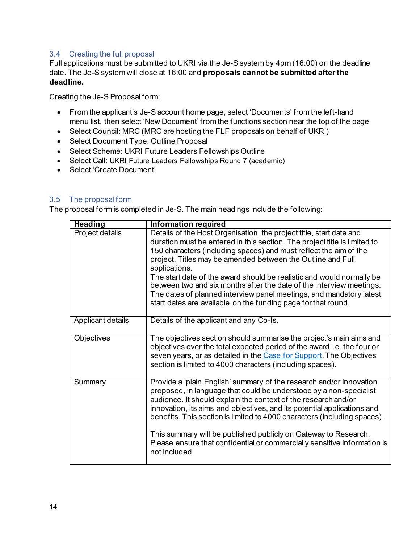#### <span id="page-17-0"></span>3.4 Creating the full proposal

Full applications must be submitted to UKRI via the Je-S system by 4pm (16:00) on the deadline date. The Je-S system will close at 16:00 and **proposals cannot be submitted after the deadline.** 

Creating the Je-S Proposal form:

- From the applicant's Je-S account home page, select 'Documents' from the left-hand menu list, then select 'New Document' from the functions section near the top of the page
- Select Council: MRC (MRC are hosting the FLF proposals on behalf of UKRI)
- Select Document Type: Outline Proposal
- Select Scheme: UKRI Future Leaders Fellowships Outline
- Select Call: UKRI Future Leaders Fellowships Round 7 (academic)
- Select 'Create Document'

#### <span id="page-17-1"></span>3.5 The proposal form

The proposal form is completed in Je-S. The main headings include the following:

| <b>Heading</b>    | <b>Information required</b>                                                                                                                                                                                                                                                                                                                                                                                                                                                                                                                                                                    |
|-------------------|------------------------------------------------------------------------------------------------------------------------------------------------------------------------------------------------------------------------------------------------------------------------------------------------------------------------------------------------------------------------------------------------------------------------------------------------------------------------------------------------------------------------------------------------------------------------------------------------|
| Project details   | Details of the Host Organisation, the project title, start date and<br>duration must be entered in this section. The project title is limited to<br>150 characters (including spaces) and must reflect the aim of the<br>project. Titles may be amended between the Outline and Full<br>applications.<br>The start date of the award should be realistic and would normally be<br>between two and six months after the date of the interview meetings.<br>The dates of planned interview panel meetings, and mandatory latest<br>start dates are available on the funding page for that round. |
| Applicant details | Details of the applicant and any Co-Is.                                                                                                                                                                                                                                                                                                                                                                                                                                                                                                                                                        |
| Objectives        | The objectives section should summarise the project's main aims and<br>objectives over the total expected period of the award i.e. the four or<br>seven years, or as detailed in the Case for Support. The Objectives<br>section is limited to 4000 characters (including spaces).                                                                                                                                                                                                                                                                                                             |
| Summary           | Provide a 'plain English' summary of the research and/or innovation<br>proposed, in language that could be understood by a non-specialist<br>audience. It should explain the context of the research and/or<br>innovation, its aims and objectives, and its potential applications and<br>benefits. This section is limited to 4000 characters (including spaces).<br>This summary will be published publicly on Gateway to Research.<br>Please ensure that confidential or commercially sensitive information is<br>not included.                                                             |
|                   |                                                                                                                                                                                                                                                                                                                                                                                                                                                                                                                                                                                                |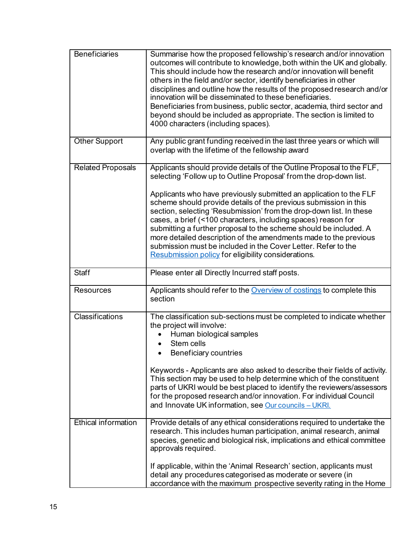| <b>Beneficiaries</b>       | Summarise how the proposed fellowship's research and/or innovation<br>outcomes will contribute to knowledge, both within the UK and globally.<br>This should include how the research and/or innovation will benefit<br>others in the field and/or sector, identify beneficiaries in other<br>disciplines and outline how the results of the proposed research and/or<br>innovation will be disseminated to these beneficiaries.<br>Beneficiaries from business, public sector, academia, third sector and<br>beyond should be included as appropriate. The section is limited to<br>4000 characters (including spaces).                                                                       |
|----------------------------|------------------------------------------------------------------------------------------------------------------------------------------------------------------------------------------------------------------------------------------------------------------------------------------------------------------------------------------------------------------------------------------------------------------------------------------------------------------------------------------------------------------------------------------------------------------------------------------------------------------------------------------------------------------------------------------------|
| <b>Other Support</b>       | Any public grant funding received in the last three years or which will<br>overlap with the lifetime of the fellowship award                                                                                                                                                                                                                                                                                                                                                                                                                                                                                                                                                                   |
| <b>Related Proposals</b>   | Applicants should provide details of the Outline Proposal to the FLF,<br>selecting 'Follow up to Outline Proposal' from the drop-down list.<br>Applicants who have previously submitted an application to the FLF<br>scheme should provide details of the previous submission in this<br>section, selecting 'Resubmission' from the drop-down list. In these<br>cases, a brief (<100 characters, including spaces) reason for<br>submitting a further proposal to the scheme should be included. A<br>more detailed description of the amendments made to the previous<br>submission must be included in the Cover Letter. Refer to the<br>Resubmission policy for eligibility considerations. |
| <b>Staff</b>               | Please enter all Directly Incurred staff posts.                                                                                                                                                                                                                                                                                                                                                                                                                                                                                                                                                                                                                                                |
| <b>Resources</b>           | Applicants should refer to the Overview of costings to complete this<br>section                                                                                                                                                                                                                                                                                                                                                                                                                                                                                                                                                                                                                |
| Classifications            | The classification sub-sections must be completed to indicate whether<br>the project will involve:<br>Human biological samples<br>Stem cells<br>Beneficiary countries<br>Keywords - Applicants are also asked to describe their fields of activity.<br>This section may be used to help determine which of the constituent<br>parts of UKRI would be best placed to identify the reviewers/assessors<br>for the proposed research and/or innovation. For individual Council<br>and Innovate UK information, see Our councils - UKRI.                                                                                                                                                           |
| <b>Ethical information</b> | Provide details of any ethical considerations required to undertake the<br>research. This includes human participation, animal research, animal<br>species, genetic and biological risk, implications and ethical committee<br>approvals required.<br>If applicable, within the 'Animal Research' section, applicants must<br>detail any procedures categorised as moderate or severe (in<br>accordance with the maximum prospective severity rating in the Home                                                                                                                                                                                                                               |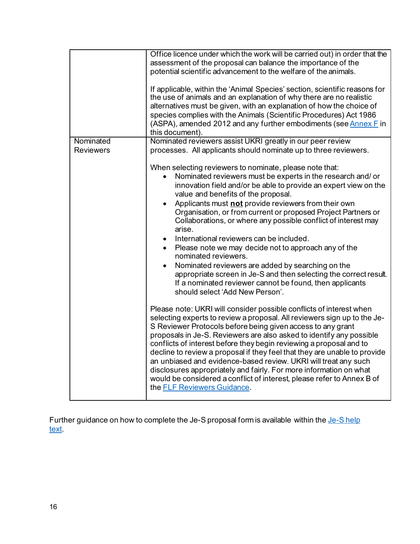|                  | Office licence under which the work will be carried out) in order that the                                                                                                                                                                                                                                                                                                             |
|------------------|----------------------------------------------------------------------------------------------------------------------------------------------------------------------------------------------------------------------------------------------------------------------------------------------------------------------------------------------------------------------------------------|
|                  | assessment of the proposal can balance the importance of the                                                                                                                                                                                                                                                                                                                           |
|                  | potential scientific advancement to the welfare of the animals.                                                                                                                                                                                                                                                                                                                        |
|                  | If applicable, within the 'Animal Species' section, scientific reasons for<br>the use of animals and an explanation of why there are no realistic<br>alternatives must be given, with an explanation of how the choice of<br>species complies with the Animals (Scientific Procedures) Act 1986<br>(ASPA), amended 2012 and any further embodiments (see Annex F in<br>this document). |
| Nominated        | Nominated reviewers assist UKRI greatly in our peer review                                                                                                                                                                                                                                                                                                                             |
| <b>Reviewers</b> | processes. All applicants should nominate up to three reviewers.                                                                                                                                                                                                                                                                                                                       |
|                  |                                                                                                                                                                                                                                                                                                                                                                                        |
|                  | When selecting reviewers to nominate, please note that:                                                                                                                                                                                                                                                                                                                                |
|                  | Nominated reviewers must be experts in the research and/or                                                                                                                                                                                                                                                                                                                             |
|                  | innovation field and/or be able to provide an expert view on the                                                                                                                                                                                                                                                                                                                       |
|                  | value and benefits of the proposal.                                                                                                                                                                                                                                                                                                                                                    |
|                  | Applicants must not provide reviewers from their own                                                                                                                                                                                                                                                                                                                                   |
|                  | Organisation, or from current or proposed Project Partners or                                                                                                                                                                                                                                                                                                                          |
|                  | Collaborations, or where any possible conflict of interest may                                                                                                                                                                                                                                                                                                                         |
|                  | arise.                                                                                                                                                                                                                                                                                                                                                                                 |
|                  | International reviewers can be included.<br>$\bullet$                                                                                                                                                                                                                                                                                                                                  |
|                  | Please note we may decide not to approach any of the                                                                                                                                                                                                                                                                                                                                   |
|                  | $\bullet$<br>nominated reviewers.                                                                                                                                                                                                                                                                                                                                                      |
|                  | Nominated reviewers are added by searching on the<br>$\bullet$                                                                                                                                                                                                                                                                                                                         |
|                  | appropriate screen in Je-S and then selecting the correct result.                                                                                                                                                                                                                                                                                                                      |
|                  |                                                                                                                                                                                                                                                                                                                                                                                        |
|                  | If a nominated reviewer cannot be found, then applicants<br>should select 'Add New Person'.                                                                                                                                                                                                                                                                                            |
|                  |                                                                                                                                                                                                                                                                                                                                                                                        |
|                  | Please note: UKRI will consider possible conflicts of interest when                                                                                                                                                                                                                                                                                                                    |
|                  | selecting experts to review a proposal. All reviewers sign up to the Je-                                                                                                                                                                                                                                                                                                               |
|                  | S Reviewer Protocols before being given access to any grant                                                                                                                                                                                                                                                                                                                            |
|                  | proposals in Je-S. Reviewers are also asked to identify any possible                                                                                                                                                                                                                                                                                                                   |
|                  | conflicts of interest before they begin reviewing a proposal and to                                                                                                                                                                                                                                                                                                                    |
|                  | decline to review a proposal if they feel that they are unable to provide                                                                                                                                                                                                                                                                                                              |
|                  | an unbiased and evidence-based review. UKRI will treat any such                                                                                                                                                                                                                                                                                                                        |
|                  | disclosures appropriately and fairly. For more information on what                                                                                                                                                                                                                                                                                                                     |
|                  | would be considered a conflict of interest, please refer to Annex B of                                                                                                                                                                                                                                                                                                                 |
|                  | the FLF Reviewers Guidance.                                                                                                                                                                                                                                                                                                                                                            |
|                  |                                                                                                                                                                                                                                                                                                                                                                                        |

Further guidance on how to complete the Je-S proposal form is available within the Je-S help [text.](https://je-s.rcuk.ac.uk/handbook/index.htm#t=pages%2FJeSHelpdesk.htm)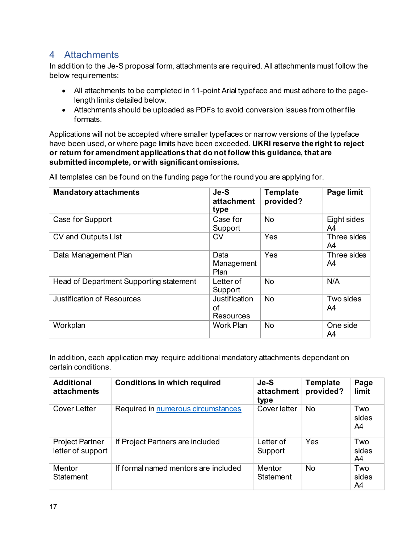# <span id="page-20-0"></span>4 Attachments

In addition to the Je-S proposal form, attachments are required. All attachments must follow the below requirements:

- All attachments to be completed in 11-point Arial typeface and must adhere to the pagelength limits detailed below.
- Attachments should be uploaded as PDFs to avoid conversion issues from other file formats.

Applications will not be accepted where smaller typefaces or narrow versions of the typeface have been used, or where page limits have been exceeded. **UKRI reserve the right to reject or return for amendment applications that do not follow this guidance, that are submitted incomplete, or with significant omissions.** 

| <b>Mandatory attachments</b>            | Je-S<br>attachment<br>type       | <b>Template</b><br>provided? | Page limit        |
|-----------------------------------------|----------------------------------|------------------------------|-------------------|
| Case for Support                        | Case for<br>Support              | <b>No</b>                    | Eight sides<br>A4 |
| CV and Outputs List                     | <b>CV</b>                        | Yes                          | Three sides<br>A4 |
| Data Management Plan                    | Data<br>Management<br>Plan       | Yes                          | Three sides<br>A4 |
| Head of Department Supporting statement | Letter of<br>Support             | <b>No</b>                    | N/A               |
| <b>Justification of Resources</b>       | Justification<br>οf<br>Resources | <b>No</b>                    | Two sides<br>A4   |
| Workplan                                | <b>Work Plan</b>                 | <b>No</b>                    | One side<br>A4    |

All templates can be found on the funding page for the round you are applying for.

In addition, each application may require additional mandatory attachments dependant on certain conditions.

| <b>Additional</b><br>attachments            | <b>Conditions in which required</b>  | Je-S<br>attachment<br>type | <b>Template</b><br>provided? | Page<br>limit      |
|---------------------------------------------|--------------------------------------|----------------------------|------------------------------|--------------------|
| Cover Letter                                | Required in numerous circumstances   | Cover letter               | <b>No</b>                    | Two<br>sides<br>A4 |
| <b>Project Partner</b><br>letter of support | If Project Partners are included     | Letter of<br>Support       | Yes                          | Two<br>sides<br>A4 |
| <b>Mentor</b><br><b>Statement</b>           | If formal named mentors are included | <b>Mentor</b><br>Statement | <b>No</b>                    | Two<br>sides<br>A4 |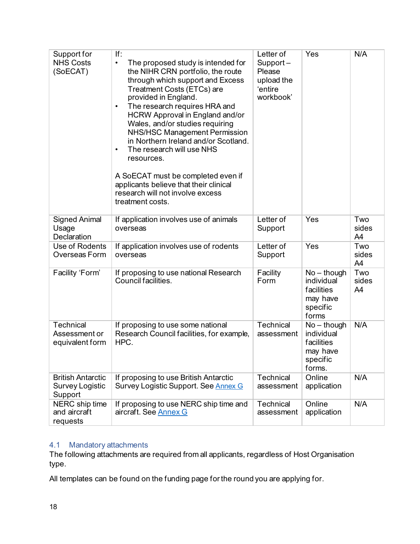| Support for<br><b>NHS Costs</b><br>(SoECAT)                   | If:<br>The proposed study is intended for<br>$\bullet$<br>the NIHR CRN portfolio, the route<br>through which support and Excess<br>Treatment Costs (ETCs) are<br>provided in England.<br>The research requires HRA and<br>٠<br>HCRW Approval in England and/or<br>Wales, and/or studies requiring<br>NHS/HSC Management Permission<br>in Northern Ireland and/or Scotland.<br>The research will use NHS<br>$\bullet$<br>resources. | Letter of<br>Support-<br>Please<br>upload the<br>'entire<br>workbook' | Yes                                                                         | N/A                |
|---------------------------------------------------------------|------------------------------------------------------------------------------------------------------------------------------------------------------------------------------------------------------------------------------------------------------------------------------------------------------------------------------------------------------------------------------------------------------------------------------------|-----------------------------------------------------------------------|-----------------------------------------------------------------------------|--------------------|
|                                                               | A SoECAT must be completed even if<br>applicants believe that their clinical<br>research will not involve excess<br>treatment costs.                                                                                                                                                                                                                                                                                               |                                                                       |                                                                             |                    |
| <b>Signed Animal</b><br>Usage<br>Declaration                  | If application involves use of animals<br>overseas                                                                                                                                                                                                                                                                                                                                                                                 | Letter of<br>Support                                                  | Yes                                                                         | Two<br>sides<br>A4 |
| Use of Rodents<br>Overseas Form                               | If application involves use of rodents<br>overseas                                                                                                                                                                                                                                                                                                                                                                                 | Letter of<br>Support                                                  | Yes                                                                         | Two<br>sides<br>A4 |
| Facility 'Form'                                               | If proposing to use national Research<br>Council facilities.                                                                                                                                                                                                                                                                                                                                                                       | Facility<br>Form                                                      | $No - though$<br>individual<br>facilities<br>may have<br>specific<br>forms  | Two<br>sides<br>A4 |
| Technical<br>Assessment or<br>equivalent form                 | If proposing to use some national<br>Research Council facilities, for example,<br>HPC.                                                                                                                                                                                                                                                                                                                                             | <b>Technical</b><br>assessment                                        | $No - though$<br>individual<br>facilities<br>may have<br>specific<br>forms. | N/A                |
| <b>British Antarctic</b><br><b>Survey Logistic</b><br>Support | If proposing to use British Antarctic<br>Survey Logistic Support. See Annex G                                                                                                                                                                                                                                                                                                                                                      | <b>Technical</b><br>assessment                                        | Online<br>application                                                       | N/A                |
| NERC ship time<br>and aircraft<br>requests                    | If proposing to use NERC ship time and<br>aircraft. See Annex G                                                                                                                                                                                                                                                                                                                                                                    | Technical<br>assessment                                               | Online<br>application                                                       | N/A                |

# <span id="page-21-0"></span>4.1 Mandatory attachments

The following attachments are required from all applicants, regardless of Host Organisation type.

All templates can be found on the funding page for the round you are applying for.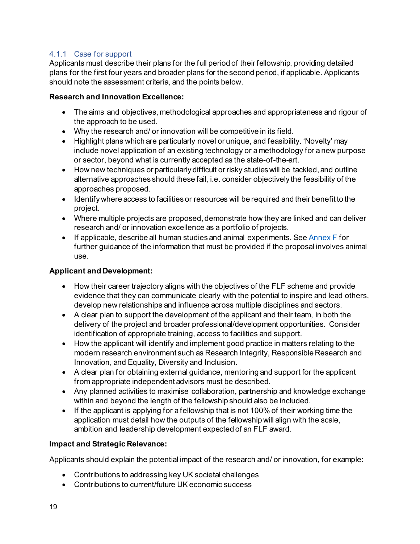# <span id="page-22-0"></span>4.1.1 Case for support

Applicants must describe their plans for the full period of their fellowship, providing detailed plans for the first four years and broader plans for the second period, if applicable. Applicants should note the assessment criteria, and the points below.

### **Research and Innovation Excellence:**

- The aims and objectives, methodological approaches and appropriateness and rigour of the approach to be used.
- Why the research and/ or innovation will be competitive in its field.
- Highlight plans which are particularly novel or unique, and feasibility. 'Novelty' may include novel application of an existing technology or a methodology for a new purpose or sector, beyond what is currently accepted as the state-of-the-art.
- How new techniques or particularly difficult or risky studieswill be tackled, and outline alternative approaches should these fail, i.e. consider objectively the feasibility of the approaches proposed.
- Identifywhere access to facilities or resources will be required and their benefit to the project.
- Where multiple projects are proposed, demonstrate how they are linked and can deliver research and/ or innovation excellence as a portfolio of projects.
- If applicable, describe all human studies and animal experiments. Se[e Annex F](#page-47-0) for further guidance of the information that must be provided if the proposal involves animal use.

# **Applicant and Development:**

- How their career trajectory aligns with the objectives of the FLF scheme and provide evidence that they can communicate clearly with the potential to inspire and lead others, develop new relationships and influence across multiple disciplines and sectors.
- A clear plan to support the development of the applicant and their team, in both the delivery of the project and broader professional/development opportunities. Consider identification of appropriate training, access to facilities and support.
- How the applicant will identify and implement good practice in matters relating to the modern research environment such as Research Integrity, Responsible Research and Innovation, and Equality, Diversity and Inclusion.
- A clear plan for obtaining external guidance, mentoring and support for the applicant from appropriate independent advisors must be described.
- Any planned activities to maximise collaboration, partnership and knowledge exchange within and beyond the length of the fellowship should also be included.
- If the applicant is applying for a fellowship that is not 100% of their working time the application must detail how the outputs of the fellowship will align with the scale, ambition and leadership development expected of an FLF award.

# **Impact and Strategic Relevance:**

Applicants should explain the potential impact of the research and/ or innovation, for example:

- Contributions to addressing key UK societal challenges
- Contributions to current/future UK economic success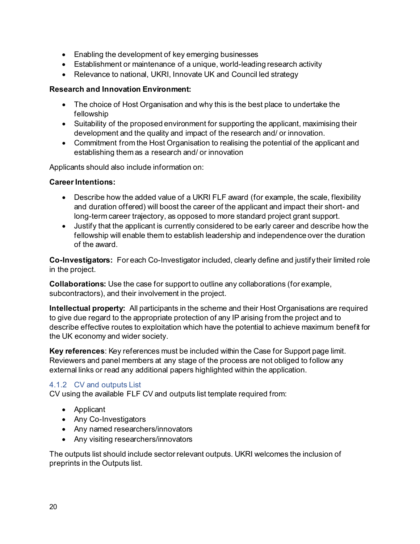- Enabling the development of key emerging businesses
- Establishment or maintenance of a unique, world-leading research activity
- Relevance to national, UKRI, Innovate UK and Council led strategy

#### **Research and Innovation Environment:**

- The choice of Host Organisation and why this is the best place to undertake the fellowship
- Suitability of the proposed environment for supporting the applicant, maximising their development and the quality and impact of the research and/ or innovation.
- Commitment from the Host Organisation to realising the potential of the applicant and establishing them as a research and/ or innovation

Applicants should also include information on:

#### **Career Intentions:**

- Describe how the added value of a UKRI FLF award (for example, the scale, flexibility and duration offered) will boost the career of the applicant and impact their short- and long-term career trajectory, as opposed to more standard project grant support.
- Justify that the applicant is currently considered to be early career and describe how the fellowship will enable them to establish leadership and independence over the duration of the award.

**Co-Investigators:** For each Co-Investigator included, clearly define and justify their limited role in the project.

**Collaborations:** Use the case for support to outline any collaborations (for example, subcontractors), and their involvement in the project.

**Intellectual property:** All participants in the scheme and their Host Organisations are required to give due regard to the appropriate protection of any IP arising from the project and to describe effective routes to exploitation which have the potential to achieve maximum benefit for the UK economy and wider society.

**Key references**: Key references must be included within the Case for Support page limit. Reviewers and panel members at any stage of the process are not obliged to follow any external links or read any additional papers highlighted within the application.

#### <span id="page-23-0"></span>4.1.2 CV and outputs List

CV using the available FLF CV and outputs list template required from:

- Applicant
- Any Co-Investigators
- Any named researchers/innovators
- Any visiting researchers/innovators

The outputs list should include sector relevant outputs. UKRI welcomes the inclusion of preprints in the Outputs list.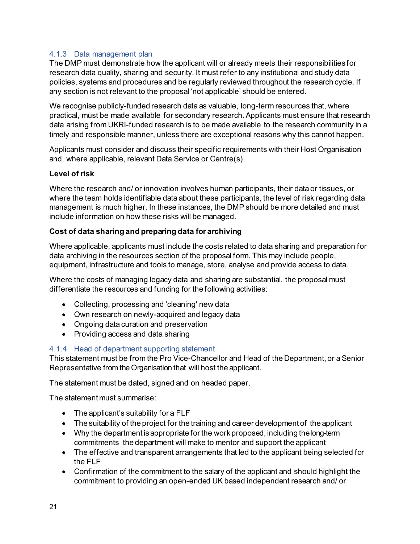# <span id="page-24-0"></span>4.1.3 Data management plan

The DMP must demonstrate how the applicant will or already meets their responsibilities for research data quality, sharing and security. It must refer to any institutional and study data policies, systems and procedures and be regularly reviewed throughout the research cycle. If any section is not relevant to the proposal 'not applicable' should be entered.

We recognise publicly-funded research data as valuable, long-term resources that, where practical, must be made available for secondary research. Applicants must ensure that research data arising from UKRI-funded research is to be made available to the research community in a timely and responsible manner, unless there are exceptional reasons why this cannot happen.

Applicants must consider and discuss their specific requirements with their Host Organisation and, where applicable, relevant Data Service or Centre(s).

# **Level of risk**

Where the research and/ or innovation involves human participants, their data or tissues, or where the team holds identifiable data about these participants, the level of risk regarding data management is much higher. In these instances, the DMP should be more detailed and must include information on how these risks will be managed.

# **Cost of data sharing and preparing data for archiving**

Where applicable, applicants must include the costs related to data sharing and preparation for data archiving in the resources section of the proposal form. This may include people, equipment, infrastructure and tools to manage, store, analyse and provide access to data.

Where the costs of managing legacy data and sharing are substantial, the proposal must differentiate the resources and funding for the following activities:

- Collecting, processing and 'cleaning' new data
- Own research on newly-acquired and legacy data
- Ongoing data curation and preservation
- Providing access and data sharing

# <span id="page-24-1"></span>4.1.4 Head of department supporting statement

This statement must be from the Pro Vice-Chancellor and Head of the Department, or a Senior Representative from the Organisation that will host the applicant.

The statement must be dated, signed and on headed paper.

The statement must summarise:

- The applicant's suitability for a FLF
- The suitability of the project for the training and career development of the applicant
- Why the department is appropriate for the work proposed, including the long-term commitments the department will make to mentor and support the applicant
- The effective and transparent arrangements that led to the applicant being selected for the FLF
- Confirmation of the commitment to the salary of the applicant and should highlight the commitment to providing an open-ended UK based independent research and/ or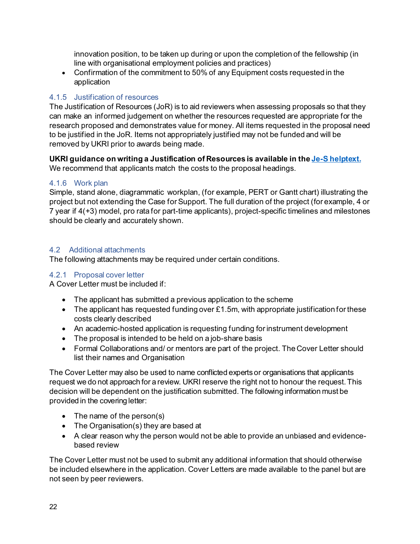innovation position, to be taken up during or upon the completion of the fellowship (in line with organisational employment policies and practices)

• Confirmation of the commitment to 50% of any Equipment costs requested in the application

# <span id="page-25-0"></span>4.1.5 Justification of resources

The Justification of Resources (JoR) is to aid reviewers when assessing proposals so that they can make an informed judgement on whether the resources requested are appropriate for the research proposed and demonstrates value for money. All items requested in the proposal need to be justified in the JoR. Items not appropriately justified may not be funded and will be removed by UKRI prior to awards being made.

**UKRI guidance on writing a Justification of Resources is available in th[e Je-S helptext.](https://je-s.rcuk.ac.uk/handbook/pages/GuidanceoncompletingaFellowshi/AccompanyingDocumentation/JustificationofResourcesCrossC.htm?rhsearch=justification%20of%20resources&rhhlterm=justification%20justifications%20resources%20resource)** We recommend that applicants match the costs to the proposal headings.

# <span id="page-25-1"></span>4.1.6 Work plan

Simple, stand alone, diagrammatic workplan, (for example, PERT or Gantt chart) illustrating the project but not extending the Case for Support. The full duration of the project (for example, 4 or 7 year if 4(+3) model, pro rata for part-time applicants), project-specific timelines and milestones should be clearly and accurately shown.

#### <span id="page-25-2"></span>4.2 Additional attachments

The following attachments may be required under certain conditions.

#### <span id="page-25-3"></span>4.2.1 Proposal cover letter

A Cover Letter must be included if:

- The applicant has submitted a previous application to the scheme
- The applicant has requested funding over £1.5m, with appropriate justification for these costs clearly described
- An academic-hosted application is requesting funding for instrument development
- The proposal is intended to be held on a job-share basis
- Formal Collaborations and/ or mentors are part of the project. The Cover Letter should list their names and Organisation

The Cover Letter may also be used to name conflicted experts or organisations that applicants request we do not approach for a review. UKRI reserve the right not to honour the request. This decision will be dependent on the justification submitted. The following information must be provided in the covering letter:

- The name of the person(s)
- The Organisation(s) they are based at
- A clear reason why the person would not be able to provide an unbiased and evidencebased review

The Cover Letter must not be used to submit any additional information that should otherwise be included elsewhere in the application. Cover Letters are made available to the panel but are not seen by peer reviewers.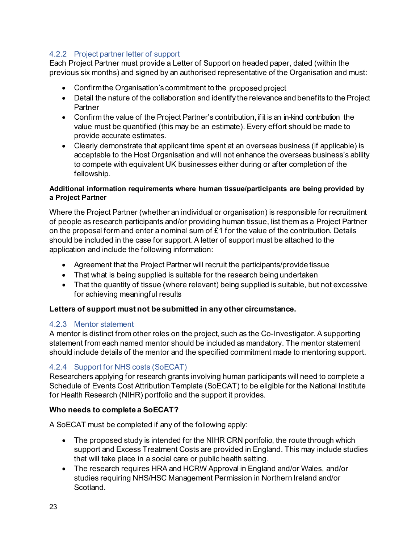# <span id="page-26-0"></span>4.2.2 Project partner letter of support

Each Project Partner must provide a Letter of Support on headed paper, dated (within the previous six months) and signed by an authorised representative of the Organisation and must:

- Confirmthe Organisation's commitment to the proposed project
- Detail the nature of the collaboration and identify the relevance and benefits to the Project **Partner**
- Confirm the value of the Project Partner's contribution, if it is an in-kind contribution the value must be quantified (this may be an estimate). Every effort should be made to provide accurate estimates.
- Clearly demonstrate that applicant time spent at an overseas business (if applicable) is acceptable to the Host Organisation and will not enhance the overseas business's ability to compete with equivalent UK businesses either during or after completion of the fellowship.

#### **Additional information requirements where human tissue/participants are being provided by a Project Partner**

Where the Project Partner (whether an individual or organisation) is responsible for recruitment of people as research participants and/or providing human tissue, list them as a Project Partner on the proposal form and enter a nominal sum of £1 for the value of the contribution. Details should be included in the case for support. A letter of support must be attached to the application and include the following information:

- Agreement that the Project Partner will recruit the participants/provide tissue
- That what is being supplied is suitable for the research being undertaken
- That the quantity of tissue (where relevant) being supplied is suitable, but not excessive for achieving meaningful results

# **Letters of support must not be submitted in any other circumstance.**

# <span id="page-26-1"></span>4.2.3 Mentor statement

A mentor is distinct from other roles on the project, such as the Co-Investigator. A supporting statement from each named mentor should be included as mandatory. The mentor statement should include details of the mentor and the specified commitment made to mentoring support.

# <span id="page-26-2"></span>4.2.4 Support for NHS costs (SoECAT)

Researchers applying for research grants involving human participants will need to complete a Schedule of Events Cost Attribution Template (SoECAT) to be eligible for the National Institute for Health Research (NIHR) portfolio and the support it provides.

# **Who needs to complete a SoECAT?**

A SoECAT must be completed if any of the following apply:

- The proposed study is intended for the NIHR CRN portfolio, the route through which support and Excess Treatment Costs are provided in England. This may include studies that will take place in a social care or public health setting.
- The research requires HRA and HCRW Approval in England and/or Wales, and/or studies requiring NHS/HSC Management Permission in Northern Ireland and/or **Scotland**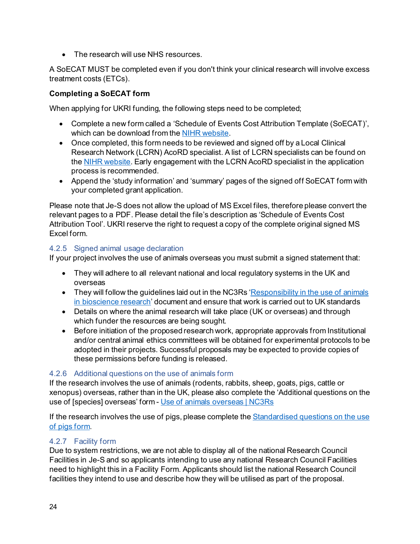• The research will use NHS resources.

A SoECAT MUST be completed even if you don't think your clinical research will involve excess treatment costs (ETCs).

# **Completing a SoECAT form**

When applying for UKRI funding, the following steps need to be completed;

- Complete a new form called a 'Schedule of Events Cost Attribution Template (SoECAT)', which can be download from the [NIHR website.](https://www.nihr.ac.uk/researchers/collaborations-services-and-support-for-your-research/run-your-study/excess-treatment-costs.htm)
- Once completed, this form needs to be reviewed and signed off by a Local Clinical Research Network (LCRN) AcoRD specialist. A list of LCRN specialists can be found on the **NIHR website**. Early engagement with the LCRN AcoRD specialist in the application process is recommended.
- Append the 'study information' and 'summary' pages of the signed off SoECAT form with your completed grant application.

Please note that Je-S does not allow the upload of MS Excel files, therefore please convert the relevant pages to a PDF. Please detail the file's description as 'Schedule of Events Cost Attribution Tool'. UKRI reserve the right to request a copy of the complete original signed MS Excel form.

#### <span id="page-27-0"></span>4.2.5 Signed animal usage declaration

If your project involves the use of animals overseas you must submit a signed statement that:

- They will adhere to all relevant national and local regulatory systems in the UK and overseas
- They will follow the guidelines laid out in the NC3Rs 'Responsibility in the use of animals [in bioscience research](https://www.nc3rs.org.uk/3rs-resources/responsibility-use-animals-bioscience-research)' document and ensure that work is carried out to UK standards
- Details on where the animal research will take place (UK or overseas) and through which funder the resources are being sought.
- Before initiation of the proposed research work, appropriate approvals from Institutional and/or central animal ethics committees will be obtained for experimental protocols to be adopted in their projects. Successful proposals may be expected to provide copies of these permissions before funding is released.

# <span id="page-27-1"></span>4.2.6 Additional questions on the use of animals form

If the research involves the use of animals (rodents, rabbits, sheep, goats, pigs, cattle or xenopus) overseas, rather than in the UK, please also complete the 'Additional questions on the use of [species] overseas' form - [Use of animals overseas | NC3Rs](https://www.nc3rs.org.uk/3rs-resources/peer-review-and-advice-service)

If the research involves the use of pigs, please complete th[e Standardised questions on the use](https://www.nc3rs.org.uk/3rs-resources/peer-review-and-advice-service) of pigs [form.](https://www.nc3rs.org.uk/3rs-resources/peer-review-and-advice-service)

# <span id="page-27-2"></span>4.2.7 Facility form

Due to system restrictions, we are not able to display all of the national Research Council Facilities in Je-S and so applicants intending to use any national Research Council Facilities need to highlight this in a Facility Form. Applicants should list the national Research Council facilities they intend to use and describe how they will be utilised as part of the proposal.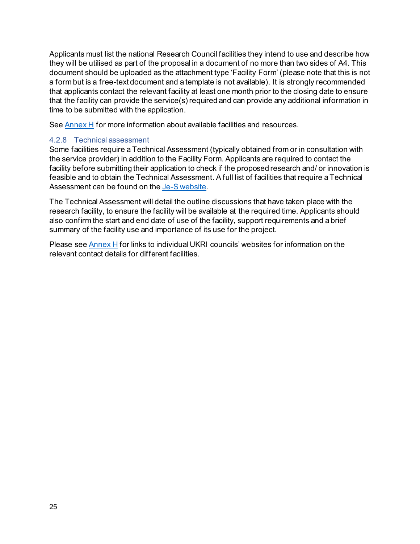Applicants must list the national Research Council facilities they intend to use and describe how they will be utilised as part of the proposal in a document of no more than two sides of A4. This document should be uploaded as the attachment type 'Facility Form' (please note that this is not a form but is a free-text document and a template is not available). It is strongly recommended that applicants contact the relevant facility at least one month prior to the closing date to ensure that the facility can provide the service(s) required and can provide any additional information in time to be submitted with the application.

See [Annex H](#page-50-0) for more information about available facilities and resources.

# <span id="page-28-0"></span>4.2.8 Technical assessment

Some facilities require a Technical Assessment (typically obtained from or in consultation with the service provider) in addition to the Facility Form. Applicants are required to contact the facility before submitting their application to check if the proposed research and/ or innovation is feasible and to obtain the Technical Assessment. A full list of facilities that require a Technical Assessment can be found on th[e Je-S website](https://je-s.rcuk.ac.uk/Handbook/index.htm?#rhsearch=facilities&t=pages%2FGuidanceoncompletingaFellowshi%2FFacilities.htm&ux=search).

The Technical Assessment will detail the outline discussions that have taken place with the research facility, to ensure the facility will be available at the required time. Applicants should also confirm the start and end date of use of the facility, support requirements and a brief summary of the facility use and importance of its use for the project.

Please se[e Annex H](#page-50-0) for links to individual UKRI councils' websites for information on the relevant contact details for different facilities.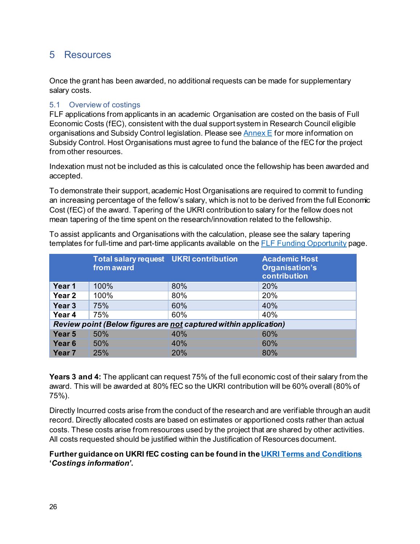# <span id="page-29-0"></span>5 Resources

Once the grant has been awarded, no additional requests can be made for supplementary salary costs.

#### <span id="page-29-1"></span>5.1 Overview of costings

FLF applications from applicants in an academic Organisation are costed on the basis of Full Economic Costs (fEC), consistent with the dual support system in Research Council eligible organisations and Subsidy Control legislation. Please see [Annex E](#page-47-1) for more information on Subsidy Control. Host Organisations must agree to fund the balance of the fEC for the project from other resources.

Indexation must not be included as this is calculated once the fellowship has been awarded and accepted.

To demonstrate their support, academic Host Organisations are required to commit to funding an increasing percentage of the fellow's salary, which is not to be derived from the full Economic Cost (fEC) of the award. Tapering of the UKRI contribution to salary for the fellow does not mean tapering of the time spent on the research/innovation related to the fellowship.

|                                                                  | <b>Total salary request UKRI contribution</b><br>from award |            | <b>Academic Host</b><br>Organisation's<br>contribution |  |  |
|------------------------------------------------------------------|-------------------------------------------------------------|------------|--------------------------------------------------------|--|--|
| Year 1                                                           | 100%                                                        | 80%        | 20%                                                    |  |  |
| Year <sub>2</sub>                                                | 100%                                                        | 80%        | 20%                                                    |  |  |
| Year <sub>3</sub>                                                | 75%                                                         | 60%        | 40%                                                    |  |  |
| Year 4                                                           | 75%                                                         | 60%        | 40%                                                    |  |  |
| Review point (Below figures are not captured within application) |                                                             |            |                                                        |  |  |
| Year 5                                                           | 50%                                                         | 40%        | 60%                                                    |  |  |
| Year <sub>6</sub>                                                | 50%                                                         | 40%        | 60%                                                    |  |  |
| Year <sub>7</sub>                                                | 25%                                                         | <b>20%</b> | 80%                                                    |  |  |

To assist applicants and Organisations with the calculation, please see the salary tapering templates for full-time and part-time applicants available on the [FLF Funding Opportunity](https://www.ukri.org/opportunity/future-leaders-fellowships-round-6/) page.

**Years 3 and 4:** The applicant can request 75% of the full economic cost of their salary from the award. This will be awarded at 80% fEC so the UKRI contribution will be 60% overall (80% of 75%).

Directly Incurred costs arise from the conduct of the research and are verifiable through an audit record. Directly allocated costs are based on estimates or apportioned costs rather than actual costs. These costs arise from resources used by the project that are shared by other activities. All costs requested should be justified within the Justification of Resources document.

# **Further guidance on UKRI fEC costing can be found in th[e UKRI Terms and Conditions](https://www.ukri.org/wp-content/uploads/2021/08/UKRI-170821-FullEconomicCostingGrantTermsConditionsGuidance-Aug2021.pdf) '***Costings information'***.**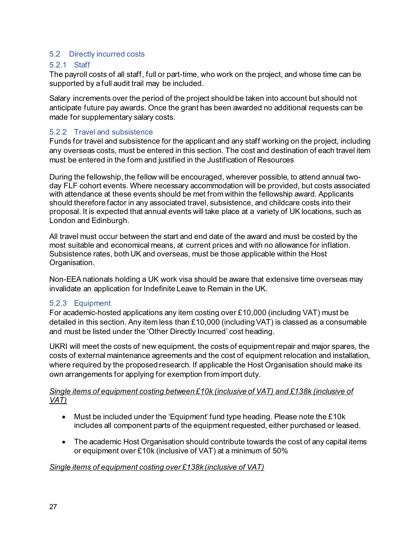### <span id="page-30-0"></span>5.2 Directly incurred costs

#### <span id="page-30-1"></span>5.2.1 Staff

The payroll costs of all staff, full or part-time, who work on the project, and whose time can be supported by a full audit trail may be included.

Salary increments over the period of the project should be taken into account but should not anticipate future pay awards. Once the grant has been awarded no additional requests can be made for supplementary salary costs.

# <span id="page-30-2"></span>5.2.2 Travel and subsistence

Funds for travel and subsistence for the applicant and any staff working on the project, including any overseas costs, must be entered in this section. The cost and destination of each travel item must be entered in the form and justified in the Justification of Resources

During the fellowship, the fellow will be encouraged, wherever possible, to attend annual twoday FLF cohort events. Where necessary accommodation will be provided, but costs associated with attendance at these events should be met from within the fellowship award. Applicants should therefore factor in any associated travel, subsistence, and childcare costs into their proposal. It is expected that annual events will take place at a variety of UK locations, such as London and Edinburgh.

All travel must occur between the start and end date of the award and must be costed by the most suitable and economical means, at current prices and with no allowance for inflation. Subsistence rates, both UK and overseas, must be those applicable within the Host Organisation.

Non-EEA nationals holding a UK work visa should be aware that extensive time overseas may invalidate an application for Indefinite Leave to Remain in the UK.

#### <span id="page-30-3"></span>5.2.3 Equipment

For academic-hosted applications any item costing over £10,000 (including VAT) must be detailed in this section. Any item less than £10,000 (including VAT) is classed as a consumable and must be listed under the 'Other Directly Incurred' cost heading.

UKRI will meet the costs of new equipment, the costs of equipment repair and major spares, the costs of external maintenance agreements and the cost of equipment relocation and installation, where required by the proposed research. If applicable the Host Organisation should make its own arrangements for applying for exemption from import duty.

#### *Single items of equipment costing between £10k (inclusive of VAT) and £138k (inclusive of VAT)*

- Must be included under the 'Equipment' fund type heading. Please note the £10k includes all component parts of the equipment requested, either purchased or leased.
- The academic Host Organisation should contribute towards the cost of any capital items or equipment over £10k (inclusive of VAT) at a minimum of 50%

# *Single items of equipment costing over £138k (inclusive of VAT)*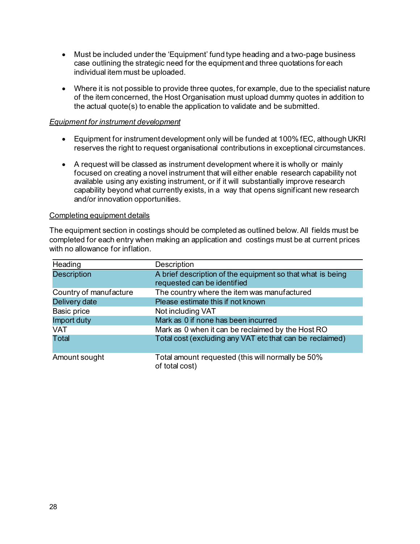- Must be included under the 'Equipment' fund type heading and a two-page business case outlining the strategic need for the equipment and three quotations for each individual item must be uploaded.
- Where it is not possible to provide three quotes, for example, due to the specialist nature of the item concerned, the Host Organisation must upload dummy quotes in addition to the actual quote(s) to enable the application to validate and be submitted.

#### *Equipment for instrument development*

- Equipment for instrument development only will be funded at 100% fEC, although UKRI reserves the right to request organisational contributions in exceptional circumstances.
- A request will be classed as instrument development where it is wholly or mainly focused on creating a novel instrument that will either enable research capability not available using any existing instrument, or if it will substantially improve research capability beyond what currently exists, in a way that opens significant new research and/or innovation opportunities.

#### Completing equipment details

The equipment section in costings should be completed as outlined below.All fields must be completed for each entry when making an application and costings must be at current prices with no allowance for inflation.

| Heading                | Description                                                                               |
|------------------------|-------------------------------------------------------------------------------------------|
| <b>Description</b>     | A brief description of the equipment so that what is being<br>requested can be identified |
| Country of manufacture | The country where the item was manufactured                                               |
| Delivery date          | Please estimate this if not known                                                         |
| Basic price            | Not including VAT                                                                         |
| Import duty            | Mark as 0 if none has been incurred                                                       |
| <b>VAT</b>             | Mark as 0 when it can be reclaimed by the Host RO                                         |
| <b>Total</b>           | Total cost (excluding any VAT etc that can be reclaimed)                                  |
| Amount sought          | Total amount requested (this will normally be 50%<br>of total cost)                       |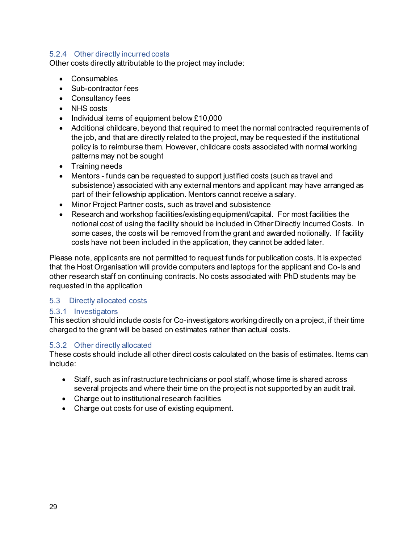### <span id="page-32-0"></span>5.2.4 Other directly incurred costs

Other costs directly attributable to the project may include:

- Consumables
- Sub-contractor fees
- Consultancy fees
- NHS costs
- Individual items of equipment below £10,000
- Additional childcare, beyond that required to meet the normal contracted requirements of the job, and that are directly related to the project, may be requested if the institutional policy is to reimburse them. However, childcare costs associated with normal working patterns may not be sought
- Training needs
- Mentors funds can be requested to support justified costs (such as travel and subsistence) associated with any external mentors and applicant may have arranged as part of their fellowship application. Mentors cannot receive a salary.
- Minor Project Partner costs, such as travel and subsistence
- Research and workshop facilities/existing equipment/capital. For most facilities the notional cost of using the facility should be included in Other Directly Incurred Costs. In some cases, the costs will be removed from the grant and awarded notionally. If facility costs have not been included in the application, they cannot be added later.

Please note, applicants are not permitted to request funds for publication costs. It is expected that the Host Organisation will provide computers and laptops for the applicant and Co-Is and other research staff on continuing contracts. No costs associated with PhD students may be requested in the application

#### <span id="page-32-1"></span>5.3 Directly allocated costs

#### <span id="page-32-2"></span>5.3.1 Investigators

This section should include costs for Co-investigators working directly on a project, if their time charged to the grant will be based on estimates rather than actual costs.

#### <span id="page-32-3"></span>5.3.2 Other directly allocated

These costs should include all other direct costs calculated on the basis of estimates. Items can include:

- Staff, such as infrastructure technicians or pool staff, whose time is shared across several projects and where their time on the project is not supported by an audit trail.
- Charge out to institutional research facilities
- Charge out costs for use of existing equipment.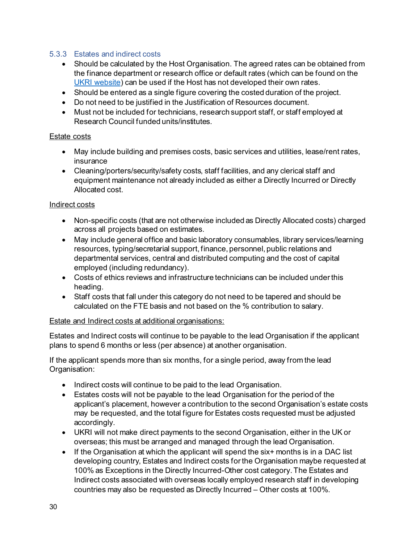### <span id="page-33-0"></span>5.3.3 Estates and indirect costs

- Should be calculated by the Host Organisation. The agreed rates can be obtained from the finance department or research office or default rates (which can be found on the [UKRI website\)](https://www.ukri.org/about-us/policies-standards-and-data/funding-assurance-programme/) can be used if the Host has not developed their own rates.
- Should be entered as a single figure covering the costed duration of the project.
- Do not need to be justified in the Justification of Resources document.
- Must not be included for technicians, research support staff, or staff employed at Research Council funded units/institutes.

#### Estate costs

- May include building and premises costs, basic services and utilities, lease/rent rates, insurance
- Cleaning/porters/security/safety costs, staff facilities, and any clerical staff and equipment maintenance not already included as either a Directly Incurred or Directly Allocated cost.

#### Indirect costs

- Non-specific costs (that are not otherwise included as Directly Allocated costs) charged across all projects based on estimates.
- May include general office and basic laboratory consumables, library services/learning resources, typing/secretarial support, finance, personnel, public relations and departmental services, central and distributed computing and the cost of capital employed (including redundancy).
- Costs of ethics reviews and infrastructure technicians can be included under this heading.
- Staff costs that fall under this category do not need to be tapered and should be calculated on the FTE basis and not based on the % contribution to salary.

#### Estate and Indirect costs at additional organisations:

Estates and Indirect costs will continue to be payable to the lead Organisation if the applicant plans to spend 6 months or less (per absence) at another organisation.

If the applicant spends more than six months, for a single period, away from the lead Organisation:

- Indirect costs will continue to be paid to the lead Organisation.
- Estates costs will not be payable to the lead Organisation for the period of the applicant's placement, however a contribution to the second Organisation's estate costs may be requested, and the total figure for Estates costs requested must be adjusted accordingly.
- UKRI will not make direct payments to the second Organisation, either in the UK or overseas; this must be arranged and managed through the lead Organisation.
- If the Organisation at which the applicant will spend the six+ months is in a DAC list developing country, Estates and Indirect costs for the Organisation maybe requested at 100% as Exceptions in the Directly Incurred-Other cost category. The Estates and Indirect costs associated with overseas locally employed research staff in developing countries may also be requested as Directly Incurred – Other costs at 100%.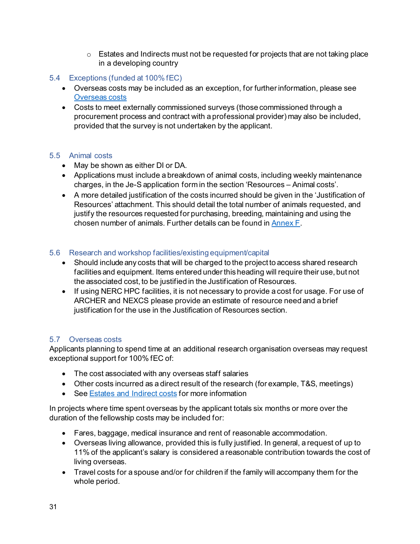- $\circ$  Estates and Indirects must not be requested for projects that are not taking place in a developing country
- <span id="page-34-0"></span>5.4 Exceptions (funded at 100% fEC)
	- Overseas costs may be included as an exception, for further information, please see [Overseas costs](#page-34-3)
	- Costs to meet externally commissioned surveys (those commissioned through a procurement process and contract with a professional provider) may also be included, provided that the survey is not undertaken by the applicant.

# <span id="page-34-1"></span>5.5 Animal costs

- May be shown as either DI or DA.
- Applications must include a breakdown of animal costs, including weekly maintenance charges, in the Je-S application form in the section 'Resources – Animal costs'.
- A more detailed justification of the costs incurred should be given in the 'Justification of Resources' attachment. This should detail the total number of animals requested, and justify the resources requested for purchasing, breeding, maintaining and using the chosen number of animals. Further details can be found i[n Annex F](#page-47-0).

# <span id="page-34-2"></span>5.6 Research and workshop facilities/existing equipment/capital

- Should include any costs that will be charged to the project to access shared research facilities and equipment. Items entered under this heading will require their use, but not the associated cost, to be justified in the Justification of Resources.
- If using NERC HPC facilities, it is not necessary to provide a cost for usage. For use of ARCHER and NEXCS please provide an estimate of resource need and a brief justification for the use in the Justification of Resources section.

# <span id="page-34-3"></span>5.7 Overseas costs

Applicants planning to spend time at an additional research organisation overseas may request exceptional support for 100% fEC of:

- The cost associated with any overseas staff salaries
- Other costs incurred as a direct result of the research (for example, T&S, meetings)
- See [Estates and Indirect costs](#page-33-0) for more information

In projects where time spent overseas by the applicant totals six months or more over the duration of the fellowship costs may be included for:

- Fares, baggage, medical insurance and rent of reasonable accommodation.
- Overseas living allowance, provided this is fully justified. In general, a request of up to 11% of the applicant's salary is considered a reasonable contribution towards the cost of living overseas.
- Travel costs for a spouse and/or for children if the family will accompany them for the whole period.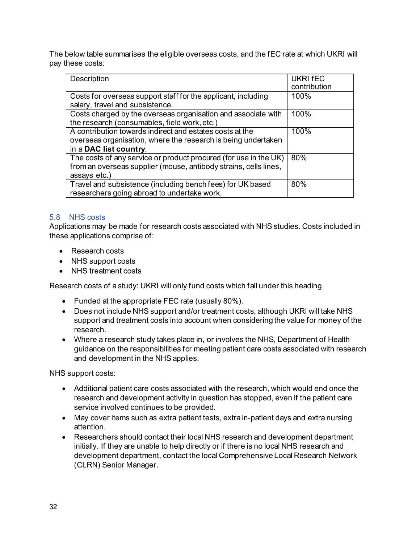The below table summarises the eligible overseas costs, and the fEC rate at which UKRI will pay these costs:

| Description                                                                                                                                          | <b>UKRI FEC</b><br>contribution |
|------------------------------------------------------------------------------------------------------------------------------------------------------|---------------------------------|
| Costs for overseas support staff for the applicant, including<br>salary, travel and subsistence.                                                     | 100%                            |
| Costs charged by the overseas organisation and associate with<br>the research (consumables, field work, etc.)                                        | 100%                            |
| A contribution towards indirect and estates costs at the<br>overseas organisation, where the research is being undertaken<br>in a DAC list country.  | 100%                            |
| The costs of any service or product procured (for use in the UK)<br>from an overseas supplier (mouse, antibody strains, cells lines,<br>assays etc.) | 80%                             |
| Travel and subsistence (including bench fees) for UK based<br>researchers going abroad to undertake work.                                            | 80%                             |

# <span id="page-35-0"></span>5.8 NHS costs

Applications may be made for research costs associated with NHS studies. Costs included in these applications comprise of:

- Research costs
- NHS support costs
- NHS treatment costs

Research costs of a study: UKRI will only fund costs which fall under this heading.

- Funded at the appropriate FEC rate (usually 80%).
- Does not include NHS support and/or treatment costs, although UKRI will take NHS support and treatment costs into account when considering the value for money of the research.
- Where a research study takes place in, or involves the NHS, Department of Health guidance on the responsibilities for meeting patient care costs associated with research and development in the NHS applies.

NHS support costs:

- Additional patient care costs associated with the research, which would end once the research and development activity in question has stopped, even if the patient care service involved continues to be provided.
- May cover items such as extra patient tests, extra in-patient days and extra nursing attention.
- Researchers should contact their local NHS research and development department initially. If they are unable to help directly or if there is no local NHS research and development department, contact the local Comprehensive Local Research Network (CLRN) Senior Manager.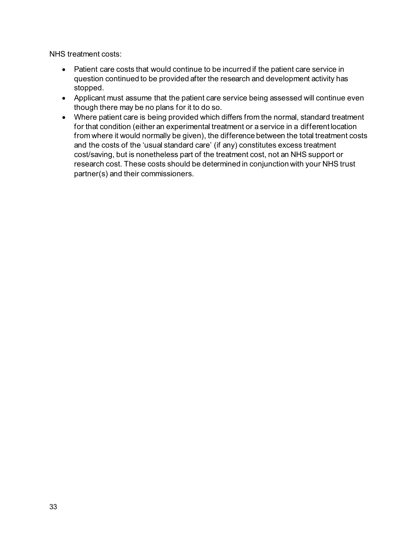NHS treatment costs:

- Patient care costs that would continue to be incurred if the patient care service in question continued to be provided after the research and development activity has stopped.
- Applicant must assume that the patient care service being assessed will continue even though there may be no plans for it to do so.
- Where patient care is being provided which differs from the normal, standard treatment for that condition (either an experimental treatment or a service in a different location from where it would normally be given), the difference between the total treatment costs and the costs of the 'usual standard care' (if any) constitutes excess treatment cost/saving, but is nonetheless part of the treatment cost, not an NHS support or research cost. These costs should be determined in conjunction with your NHS trust partner(s) and their commissioners.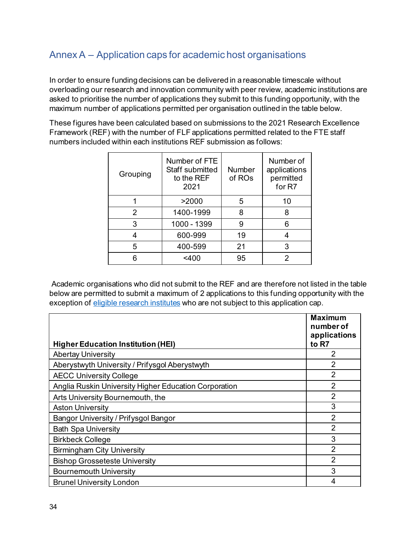# <span id="page-37-0"></span>Annex A – Application caps for academic host organisations

In order to ensure funding decisions can be delivered in a reasonable timescale without overloading our research and innovation community with peer review, academic institutions are asked to prioritise the number of applications they submit to this funding opportunity, with the maximum number of applications permitted per organisation outlined in the table below.

These figures have been calculated based on submissions to the 2021 Research Excellence Framework (REF) with the number of FLF applications permitted related to the FTE staff numbers included within each institutions REF submission as follows:

| Grouping      | Number of FTE<br>Staff submitted<br>to the REF<br>2021 | <b>Number</b><br>of ROs | Number of<br>applications<br>permitted<br>for R7 |
|---------------|--------------------------------------------------------|-------------------------|--------------------------------------------------|
|               | >2000                                                  | 5                       | 10                                               |
| $\mathcal{P}$ | 1400-1999                                              | 8                       | 8                                                |
| 3             | 1000 - 1399                                            | 9                       | 6                                                |
|               | 600-999                                                | 19                      |                                                  |
| 5             | 400-599                                                | 21                      | 3                                                |
|               | <400                                                   | 95                      | 2                                                |

Academic organisations who did not submit to the REF and are therefore not listed in the table below are permitted to submit a maximum of 2 applications to this funding opportunity with the exception o[f eligible research institutes](https://www.ukri.org/apply-for-funding/before-you-apply/check-if-you-are-eligible-for-research-and-innovation-funding/eligible-research-institutes/) who are not subject to this application cap.

| <b>Higher Education Institution (HEI)</b>             | <b>Maximum</b><br>number of<br>applications<br>to R7 |
|-------------------------------------------------------|------------------------------------------------------|
| <b>Abertay University</b>                             | 2                                                    |
| Aberystwyth University / Prifysgol Aberystwyth        | $\overline{2}$                                       |
| <b>AECC University College</b>                        | $\overline{2}$                                       |
| Anglia Ruskin University Higher Education Corporation | $\overline{2}$                                       |
| Arts University Bournemouth, the                      | $\overline{2}$                                       |
| <b>Aston University</b>                               | 3                                                    |
| Bangor University / Prifysgol Bangor                  | $\overline{2}$                                       |
| <b>Bath Spa University</b>                            | $\overline{2}$                                       |
| <b>Birkbeck College</b>                               | 3                                                    |
| <b>Birmingham City University</b>                     | $\overline{2}$                                       |
| <b>Bishop Grosseteste University</b>                  | $\overline{2}$                                       |
| <b>Bournemouth University</b>                         | 3                                                    |
| <b>Brunel University London</b>                       | 4                                                    |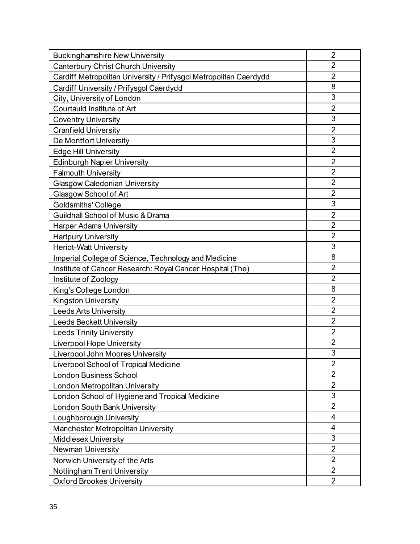| <b>Buckinghamshire New University</b>                             | $\overline{2}$           |
|-------------------------------------------------------------------|--------------------------|
| <b>Canterbury Christ Church University</b>                        | $\overline{2}$           |
| Cardiff Metropolitan University / Prifysgol Metropolitan Caerdydd | $\overline{2}$           |
| Cardiff University / Prifysgol Caerdydd                           | 8                        |
| City, University of London                                        | 3                        |
| Courtauld Institute of Art                                        | $\overline{2}$           |
| <b>Coventry University</b>                                        | 3                        |
| Cranfield University                                              | $\overline{2}$           |
| De Montfort University                                            | 3                        |
| <b>Edge Hill University</b>                                       | $\overline{2}$           |
| <b>Edinburgh Napier University</b>                                | $\overline{2}$           |
| <b>Falmouth University</b>                                        | $\overline{2}$           |
| <b>Glasgow Caledonian University</b>                              | $\overline{2}$           |
| Glasgow School of Art                                             | $\overline{2}$           |
| <b>Goldsmiths' College</b>                                        | 3                        |
| Guildhall School of Music & Drama                                 | $\overline{2}$           |
| <b>Harper Adams University</b>                                    | $\overline{2}$           |
| <b>Hartpury University</b>                                        | $\overline{2}$           |
| <b>Heriot-Watt University</b>                                     | 3                        |
| Imperial College of Science, Technology and Medicine              | 8                        |
| Institute of Cancer Research: Royal Cancer Hospital (The)         | $\overline{2}$           |
| Institute of Zoology                                              | $\overline{2}$           |
| King's College London                                             | 8                        |
| <b>Kingston University</b>                                        | $\overline{2}$           |
| <b>Leeds Arts University</b>                                      | $\overline{2}$           |
| <b>Leeds Beckett University</b>                                   | $\overline{2}$           |
| <b>Leeds Trinity University</b>                                   | $\overline{2}$           |
| <b>Liverpool Hope University</b>                                  | $\overline{2}$           |
| <b>Liverpool John Moores University</b>                           | 3                        |
| Liverpool School of Tropical Medicine                             | $\overline{2}$           |
| <b>London Business School</b>                                     | $\overline{2}$           |
| London Metropolitan University                                    | $\overline{2}$           |
| London School of Hygiene and Tropical Medicine                    | 3                        |
| London South Bank University                                      | $\overline{2}$           |
| Loughborough University                                           | $\overline{\mathcal{A}}$ |
| Manchester Metropolitan University                                | 4                        |
| <b>Middlesex University</b>                                       | 3                        |
| <b>Newman University</b>                                          | $\overline{2}$           |
| Norwich University of the Arts                                    | $\overline{2}$           |
| Nottingham Trent University                                       | $\overline{2}$           |
| <b>Oxford Brookes University</b>                                  | $\overline{2}$           |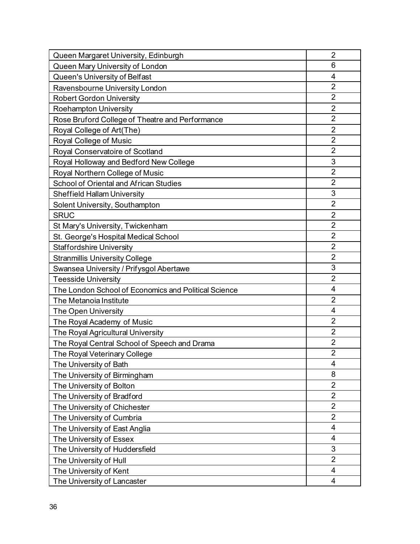| Queen Margaret University, Edinburgh                 | $\overline{2}$ |
|------------------------------------------------------|----------------|
| Queen Mary University of London                      | 6              |
| Queen's University of Belfast                        | 4              |
| Ravensbourne University London                       | $\overline{2}$ |
| <b>Robert Gordon University</b>                      | $\overline{2}$ |
| <b>Roehampton University</b>                         | $\overline{2}$ |
| Rose Bruford College of Theatre and Performance      | $\overline{2}$ |
| Royal College of Art(The)                            | $\overline{2}$ |
| Royal College of Music                               | $\overline{2}$ |
| Royal Conservatoire of Scotland                      | $\overline{2}$ |
| Royal Holloway and Bedford New College               | 3              |
| Royal Northern College of Music                      | $\overline{2}$ |
| School of Oriental and African Studies               | $\overline{2}$ |
| <b>Sheffield Hallam University</b>                   | 3              |
| Solent University, Southampton                       | $\overline{2}$ |
| <b>SRUC</b>                                          | $\overline{2}$ |
| St Mary's University, Twickenham                     | $\overline{2}$ |
| St. George's Hospital Medical School                 |                |
| $\overline{2}$<br><b>Staffordshire University</b>    |                |
| <b>Stranmillis University College</b>                | $\overline{2}$ |
| Swansea University / Prifysgol Abertawe              |                |
| $\overline{2}$<br><b>Teesside University</b>         |                |
| The London School of Economics and Political Science | $\overline{4}$ |
| The Metanoia Institute                               | $\overline{2}$ |
| The Open University                                  | $\overline{4}$ |
| The Royal Academy of Music                           | $\overline{2}$ |
| The Royal Agricultural University                    | $\overline{2}$ |
| The Royal Central School of Speech and Drama         | $\overline{2}$ |
| The Royal Veterinary College                         | $\overline{2}$ |
| The University of Bath                               | 4              |
| The University of Birmingham                         | 8              |
| The University of Bolton                             | $\overline{2}$ |
| The University of Bradford                           | $\overline{2}$ |
| $\overline{2}$<br>The University of Chichester       |                |
| The University of Cumbria                            | $\overline{2}$ |
| The University of East Anglia                        | $\overline{4}$ |
| The University of Essex                              | 4              |
| The University of Huddersfield                       | 3              |
| The University of Hull                               | $\overline{2}$ |
| The University of Kent                               | $\overline{4}$ |
| The University of Lancaster                          | 4              |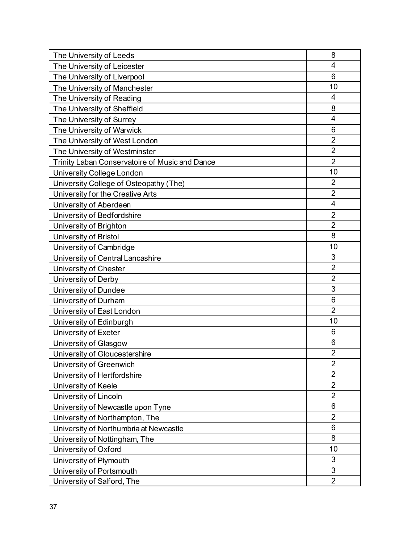| The University of Leeds                        | 8              |
|------------------------------------------------|----------------|
| The University of Leicester                    | 4              |
| The University of Liverpool                    | 6              |
| The University of Manchester                   | 10             |
| The University of Reading                      | $\overline{4}$ |
| The University of Sheffield                    | 8              |
| The University of Surrey                       | $\overline{4}$ |
| The University of Warwick                      | 6              |
| The University of West London                  | $\overline{2}$ |
| The University of Westminster                  | $\overline{2}$ |
| Trinity Laban Conservatoire of Music and Dance | $\overline{2}$ |
| <b>University College London</b>               | 10             |
| University College of Osteopathy (The)         | $\overline{2}$ |
| University for the Creative Arts               | $\overline{2}$ |
| University of Aberdeen                         | $\overline{4}$ |
| University of Bedfordshire                     | $\overline{2}$ |
| University of Brighton                         | $\overline{2}$ |
| University of Bristol                          |                |
| University of Cambridge                        | 10             |
| University of Central Lancashire               | 3              |
| University of Chester                          | $\overline{2}$ |
| University of Derby                            | $\overline{2}$ |
| University of Dundee                           | 3              |
| University of Durham                           | 6              |
| University of East London                      | $\overline{2}$ |
| University of Edinburgh                        | 10             |
| University of Exeter                           | 6              |
| University of Glasgow                          | 6              |
| University of Gloucestershire                  | $\overline{2}$ |
| University of Greenwich                        | $\overline{2}$ |
| University of Hertfordshire                    | $\overline{2}$ |
| University of Keele                            | $\overline{2}$ |
| University of Lincoln                          | $\overline{2}$ |
| University of Newcastle upon Tyne              | 6              |
| University of Northampton, The                 | $\overline{2}$ |
| University of Northumbria at Newcastle         | 6              |
| University of Nottingham, The                  | 8              |
| University of Oxford                           | 10             |
| University of Plymouth                         | 3              |
| University of Portsmouth                       | 3              |
| University of Salford, The                     | $\overline{2}$ |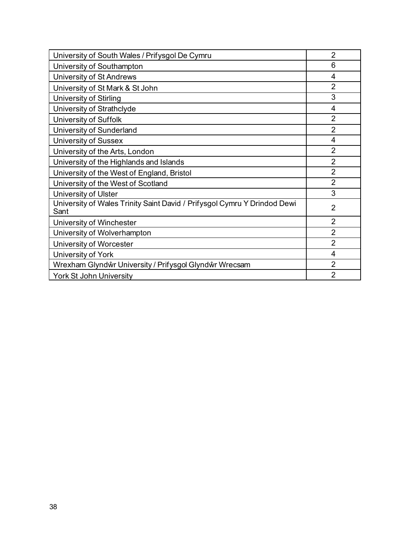| University of South Wales / Prifysgol De Cymru                                   | $\overline{2}$ |
|----------------------------------------------------------------------------------|----------------|
| University of Southampton                                                        | 6              |
| University of St Andrews                                                         | 4              |
| University of St Mark & St John                                                  | $\overline{2}$ |
| <b>University of Stirling</b>                                                    | 3              |
| University of Strathclyde                                                        | 4              |
| University of Suffolk                                                            | $\overline{2}$ |
| University of Sunderland                                                         | $\overline{2}$ |
| <b>University of Sussex</b>                                                      | 4              |
| University of the Arts, London                                                   | $\overline{2}$ |
| University of the Highlands and Islands                                          | $\overline{2}$ |
| University of the West of England, Bristol                                       | $\overline{2}$ |
| University of the West of Scotland                                               | $\overline{2}$ |
| University of Ulster                                                             | 3              |
| University of Wales Trinity Saint David / Prifysgol Cymru Y Drindod Dewi<br>Sant | $\overline{2}$ |
| University of Winchester                                                         | $\overline{2}$ |
| University of Wolverhampton                                                      | $\overline{2}$ |
| University of Worcester                                                          | $\overline{2}$ |
| University of York                                                               | 4              |
| Wrexham Glyndŵr University / Prifysgol Glyndŵr Wrecsam                           | $\overline{2}$ |
| <b>York St John University</b>                                                   | $\overline{2}$ |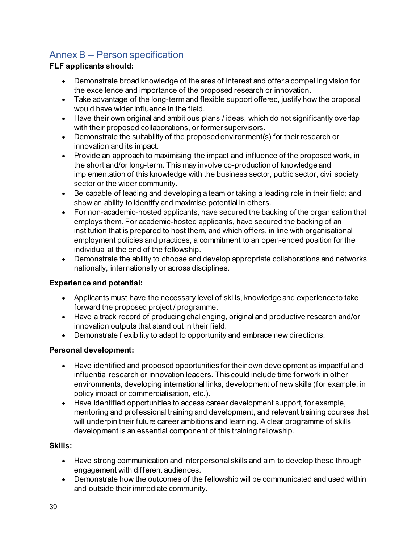# <span id="page-42-0"></span>Annex B – Person specification

# **FLF applicants should:**

- Demonstrate broad knowledge of the area of interest and offer a compelling vision for the excellence and importance of the proposed research or innovation.
- Take advantage of the long-term and flexible support offered, justify how the proposal would have wider influence in the field.
- Have their own original and ambitious plans / ideas, which do not significantly overlap with their proposed collaborations, or former supervisors.
- Demonstrate the suitability of the proposed environment(s) for their research or innovation and its impact.
- Provide an approach to maximising the impact and influence of the proposed work, in the short and/or long-term. This may involve co-production of knowledge and implementation of this knowledge with the business sector, public sector, civil society sector or the wider community.
- Be capable of leading and developing a team or taking a leading role in their field; and show an ability to identify and maximise potential in others.
- For non-academic-hosted applicants, have secured the backing of the organisation that employs them. For academic-hosted applicants, have secured the backing of an institution that is prepared to host them, and which offers, in line with organisational employment policies and practices, a commitment to an open-ended position for the individual at the end of the fellowship.
- Demonstrate the ability to choose and develop appropriate collaborations and networks nationally, internationally or across disciplines.

# **Experience and potential:**

- Applicants must have the necessary level of skills, knowledge and experience to take forward the proposed project / programme.
- Have a track record of producing challenging, original and productive research and/or innovation outputs that stand out in their field.
- Demonstrate flexibility to adapt to opportunity and embrace new directions.

# **Personal development:**

- Have identified and proposed opportunities for their own development as impactful and influential research or innovation leaders. This could include time for work in other environments, developing international links, development of new skills (for example, in policy impact or commercialisation, etc.).
- Have identified opportunities to access career development support, for example, mentoring and professional training and development, and relevant training courses that will underpin their future career ambitions and learning. A clear programme of skills development is an essential component of this training fellowship.

# **Skills:**

- Have strong communication and interpersonal skills and aim to develop these through engagement with different audiences.
- Demonstrate how the outcomes of the fellowship will be communicated and used within and outside their immediate community.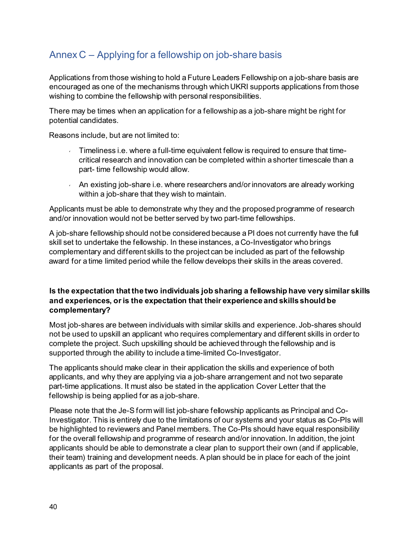# <span id="page-43-0"></span>Annex C – Applying for a fellowship on job-share basis

Applications from those wishing to hold a Future Leaders Fellowship on a job-share basis are encouraged as one of the mechanisms through which UKRI supports applications from those wishing to combine the fellowship with personal responsibilities.

There may be times when an application for a fellowship as a job-share might be right for potential candidates.

Reasons include, but are not limited to:

- $\sim$  Timeliness i.e. where a full-time equivalent fellow is required to ensure that timecritical research and innovation can be completed within a shorter timescale than a part- time fellowship would allow.
- $\sim$  An existing job-share i.e. where researchers and/or innovators are already working within a job-share that they wish to maintain.

Applicants must be able to demonstrate why they and the proposed programme of research and/or innovation would not be better served by two part-time fellowships.

A job-share fellowship should not be considered because aPI does not currently have the full skill set to undertake the fellowship. In these instances, a Co-Investigator who brings complementary and different skills to the project can be included as part of the fellowship award for a time limited period while the fellow develops their skills in the areas covered.

#### **Is the expectation that the two individuals job sharing a fellowship have very similar skills and experiences, oris the expectation that their experience and skills should be complementary?**

Most job-shares are between individuals with similar skills and experience. Job-shares should not be used to upskill an applicant who requires complementary and different skills in order to complete the project. Such upskilling should be achieved through the fellowship and is supported through the ability to include a time-limited Co-Investigator.

The applicants should make clear in their application the skills and experience of both applicants, and why they are applying via a job-share arrangement and not two separate part-time applications. It must also be stated in the application Cover Letter that the fellowship is being applied for as a job-share.

Please note that the Je-S form will list job-share fellowship applicants as Principal and Co-Investigator. This is entirely due to the limitations of our systems and your status as Co-PIs will be highlighted to reviewers and Panel members. The Co-PIs should have equal responsibility for the overall fellowship and programme of research and/or innovation. In addition, the joint applicants should be able to demonstrate a clear plan to support their own (and if applicable, their team) training and development needs. A plan should be in place for each of the joint applicants as part of the proposal.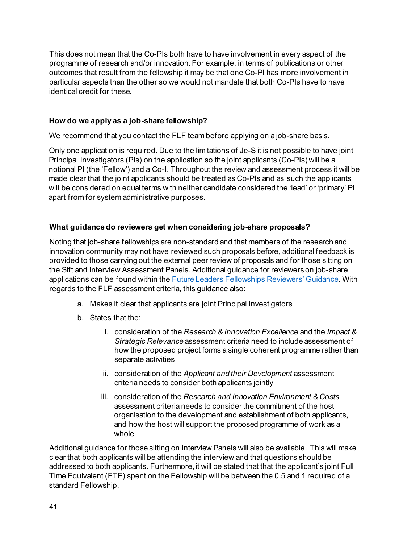This does not mean that the Co-PIs both have to have involvement in every aspect of the programme of research and/or innovation.For example, in terms of publications or other outcomes that result from the fellowship it may be that one Co-PI has more involvement in particular aspects than the other so we would not mandate that both Co-PIs have to have identical credit for these.

# **How do we apply as a job-share fellowship?**

We recommend that you contact the FLF team before applying on a job-share basis.

Only one application is required. Due to the limitations of Je-S it is not possible to have joint Principal Investigators (PIs) on the application so the joint applicants (Co-PIs) will be a notional PI (the 'Fellow') and a Co-I. Throughout the review and assessment process it will be made clear that the joint applicants should be treated as Co-PIs and as such the applicants will be considered on equal terms with neither candidate considered the 'lead' or 'primary' PI apart from for system administrative purposes.

#### **What guidance do reviewers get when considering job-share proposals?**

Noting that job-share fellowships are non-standard and that members of the research and innovation community may not have reviewed such proposals before, additional feedback is provided to those carrying out the external peer review of proposals and for those sitting on the Sift and Interview Assessment Panels. Additional guidance for reviewers on job-share applications can be found within th[e Future Leaders Fellowships Reviewers'](https://www.ukri.org/what-we-offer/developing-people-and-skills/future-leaders-fellowships/future-leaders-fellowships-guidance/expert-review/) Guidance. With regards to the FLF assessment criteria, this guidance also:

- a. Makes it clear that applicants are joint Principal Investigators
- b. States that the:
	- i. consideration of the *Research & Innovation Excellence* and the *Impact & Strategic Relevance* assessment criteria need to include assessment of how the proposed project forms a single coherent programme rather than separate activities
	- ii. consideration of the *Applicant and their Development* assessment criteria needs to consider both applicants jointly
	- iii. consideration of the *Research and Innovation Environment & Costs*  assessment criteria needs to consider the commitment of the host organisation to the development and establishment of both applicants, and how the host will support the proposed programme of work as a whole

Additional guidance for those sitting on Interview Panels will also be available. This will make clear that both applicants will be attending the interview and that questions should be addressed to both applicants. Furthermore, it will be stated that that the applicant's joint Full Time Equivalent (FTE) spent on the Fellowship will be between the 0.5 and 1 required of a standard Fellowship.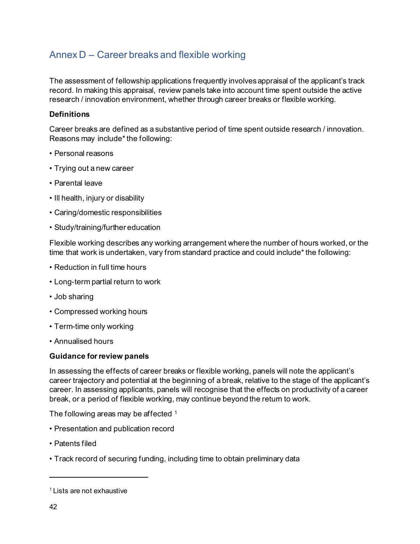# <span id="page-45-0"></span>Annex D – Career breaks and flexible working

The assessment of fellowship applications frequently involves appraisal of the applicant's track record. In making this appraisal, review panels take into account time spent outside the active research / innovation environment, whether through career breaks or flexible working.

#### **Definitions**

Career breaks are defined as a substantive period of time spent outside research / innovation. Reasons may include\* the following:

- Personal reasons
- Trying out a new career
- Parental leave
- Ill health, injury or disability
- Caring/domestic responsibilities
- Study/training/further education

Flexible working describes any working arrangement where the number of hours worked, or the time that work is undertaken, vary from standard practice and could include\* the following:

- Reduction in full time hours
- Long-term partial return to work
- Job sharing
- Compressed working hours
- Term-time only working
- Annualised hours

#### **Guidance for review panels**

In assessing the effects of career breaks or flexible working, panels will note the applicant's career trajectory and potential at the beginning of a break, relative to the stage of the applicant's career. In assessing applicants, panels will recognise that the effects on productivity of a career break, or a period of flexible working, may continue beyond the return to work.

The following areas may be affected [1](#page-45-1)

- Presentation and publication record
- Patents filed
- Track record of securing funding, including time to obtain preliminary data

<span id="page-45-1"></span><sup>&</sup>lt;sup>1</sup> Lists are not exhaustive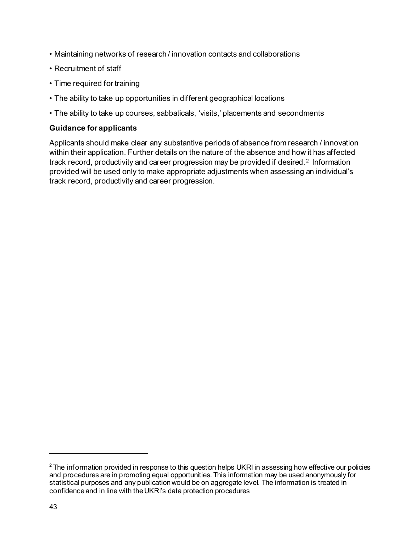- Maintaining networks of research / innovation contacts and collaborations
- Recruitment of staff
- Time required for training
- The ability to take up opportunities in different geographical locations
- The ability to take up courses, sabbaticals, 'visits,' placements and secondments

#### **Guidance for applicants**

Applicants should make clear any substantive periods of absence from research / innovation within their application. Further details on the nature of the absence and how it has affected track record, productivity and career progression may be provided if desired. [2](#page-46-0) Information provided will be used only to make appropriate adjustments when assessing an individual's track record, productivity and career progression.

<span id="page-46-0"></span> $2$  The information provided in response to this question helps UKRI in assessing how effective our policies and procedures are in promoting equal opportunities. This information may be used anonymously for statistical purposes and any publication would be on aggregate level. The information is treated in confidence and in line with the UKRI's data protection procedures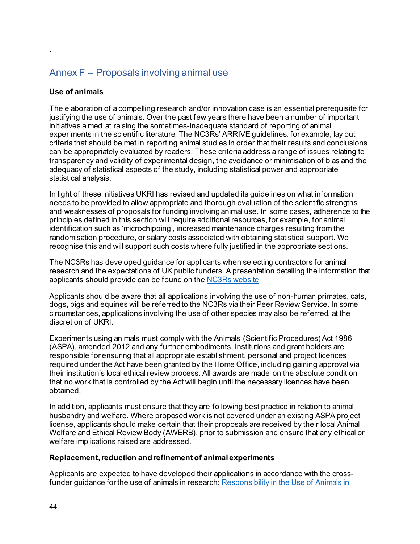# <span id="page-47-0"></span>Annex F – Proposals involving animal use

#### **Use of animals**

<span id="page-47-1"></span>`

The elaboration of a compelling research and/or innovation case is an essential prerequisite for justifying the use of animals. Over the past few years there have been a number of important initiatives aimed at raising the sometimes-inadequate standard of reporting of animal experiments in the scientific literature. The [NC3Rs' ARRIVE guidelines,](https://www.mrc.ac.uk/links/nc3rs-arrive-guidelines/) for example, lay out criteria that should be met in reporting animal studies in order that their results and conclusions can be appropriately evaluated by readers. These criteria address a range of issues relating to transparency and validity of experimental design, the avoidance or minimisation of bias and the adequacy of statistical aspects of the study, including statistical power and appropriate statistical analysis.

In light of these initiatives UKRI [has revised and updated its guidelines](https://www.mrc.ac.uk/links/updated-rcuk-guidance-for-funding-applications-involving-animal-research/) on what information needs to be provided to allow appropriate and thorough evaluation of the scientific strengths and weaknesses of proposals for funding involving animal use. In some cases, adherence to the principles defined in this section will require additional resources, for example, for animal identification such as 'microchipping', increased maintenance charges resulting from the randomisation procedure, or salary costs associated with obtaining statistical support. We recognise this and will support such costs where fully justified in the appropriate sections.

The NC3Rs has developed guidance for applicants when selecting contractors for animal research and the expectations of UK public funders. A presentation detailing the information that applicants should provide can be found on th[e NC3Rs website.](https://www.nc3rs.org.uk/news/choosing-contractors-animal-research)

Applicants should be aware that all applications involving the use of non-human primates, cats, dogs, pigs and equines will be referred to the NC3Rs via their Peer Review Service. In some circumstances, applications involving the use of other species may also be referred, at the discretion of UKRI.

Experiments using animals must comply with the Animals (Scientific Procedures) Act 1986 (ASPA), amended 2012 and any further embodiments. Institutions and grant holders are responsible for ensuring that all appropriate establishment, personal and project licences required under the Act have been granted by the Home Office, including gaining approval via their institution's local ethical review process. All awards are made on the absolute condition that no work that is controlled by the Act will begin until the necessary licences have been obtained.

In addition, applicants must ensure that they are following best practice in relation to animal husbandry and welfare. Where proposed work is not covered under an existing ASPA project license, applicants should make certain that their proposals are received by their local Animal Welfare and Ethical Review Body (AWERB), prior to submission and ensure that any ethical or welfare implications raised are addressed.

#### **Replacement, reduction and refinement of animal experiments**

Applicants are expected to have developed their applications in accordance with the crossfunder guidance for the use of animals in research[: Responsibility in the Use of Animals in](https://www.nc3rs.org.uk/sites/default/files/Responsibility%20in%20the%20use%20of%20animals%20in%20bioscience%20research%20-%20July%202015.pdf)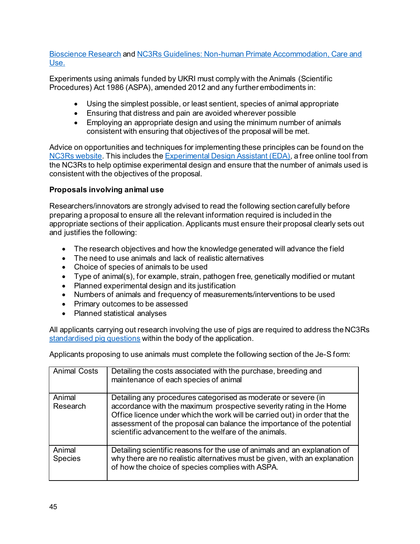[Bioscience Research](https://www.nc3rs.org.uk/sites/default/files/Responsibility%20in%20the%20use%20of%20animals%20in%20bioscience%20research%20-%20July%202015.pdf) and [NC3Rs Guidelines: Non-human Primate Accommodation, Care and](https://www.nc3rs.org.uk/non-human-primate-accommodation-care-and-use)  [Use.](https://www.nc3rs.org.uk/non-human-primate-accommodation-care-and-use) 

Experiments using animals funded by UKRI must comply with the Animals (Scientific Procedures) Act 1986 (ASPA), amended 2012 and any further embodiments in:

- Using the simplest possible, or least sentient, species of animal appropriate
- Ensuring that distress and pain are avoided wherever possible
- Employing an appropriate design and using the minimum number of animals consistent with ensuring that objectives of the proposal will be met.

Advice on opportunities and techniques for implementing these principles can be found on the [NC3Rs website.](https://www.nc3rs.org.uk/) This includes th[e Experimental Design Assistant \(EDA\),](https://www.nc3rs.org.uk/experimental-design-assistant-eda) a free online tool from the NC3Rs to help optimise experimental design and ensure that the number of animals used is consistent with the objectives of the proposal.

# **Proposals involving animal use**

Researchers/innovators are strongly advised to read the following section carefully before preparing a proposal to ensure all the relevant information required is included in the appropriate sections of their application. Applicants must ensure their proposal clearly sets out and justifies the following:

- The research objectives and how the knowledge generated will advance the field
- The need to use animals and lack of realistic alternatives
- Choice of species of animals to be used
- Type of animal(s), for example, strain, pathogen free, genetically modified or mutant
- Planned experimental design and its justification
- Numbers of animals and frequency of measurements/interventions to be used
- Primary outcomes to be assessed
- Planned statistical analyses

All applicants carrying out research involving the use of pigs are required to address the NC3Rs [standardised pig questions](https://bbsrc.ukri.org/documents/standardised-questions-on-the-use-of-pigs) within the body of the application.

Applicants proposing to use animals must complete the following section of the Je-S form:

| <b>Animal Costs</b>      | Detailing the costs associated with the purchase, breeding and<br>maintenance of each species of animal                                                                                                                                                                                                                                                |
|--------------------------|--------------------------------------------------------------------------------------------------------------------------------------------------------------------------------------------------------------------------------------------------------------------------------------------------------------------------------------------------------|
| Animal<br>Research       | Detailing any procedures categorised as moderate or severe (in<br>accordance with the maximum prospective severity rating in the Home<br>Office licence under which the work will be carried out) in order that the<br>assessment of the proposal can balance the importance of the potential<br>scientific advancement to the welfare of the animals. |
| Animal<br><b>Species</b> | Detailing scientific reasons for the use of animals and an explanation of<br>why there are no realistic alternatives must be given, with an explanation<br>of how the choice of species complies with ASPA.                                                                                                                                            |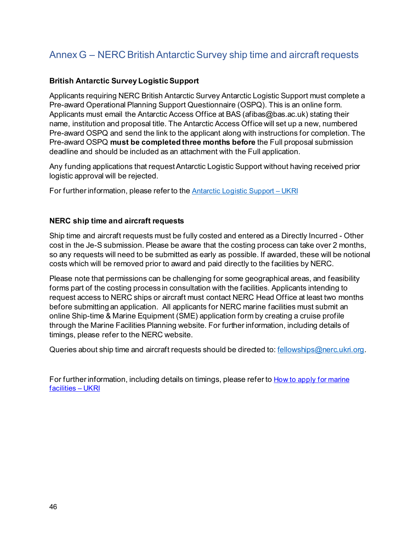# <span id="page-49-0"></span>Annex G – NERC British Antarctic Survey ship time and aircraft requests

### **British Antarctic Survey Logistic Support**

Applicants requiring NERC British Antarctic Survey Antarctic Logistic Support must complete a Pre-award Operational Planning Support Questionnaire (OSPQ). This is an online form. Applicants must email the Antarctic Access Office at BAS (afibas@bas.ac.uk) stating their name, institution and proposal title. The Antarctic Access Office will set up a new, numbered Pre-award OSPQ and send the link to the applicant along with instructions for completion. The Pre-award OSPQ **must be completed three months before** the Full proposal submission deadline and should be included as an attachment with the Full application.

Any funding applications that request Antarctic Logistic Support without having received prior logistic approval will be rejected.

For further information, please refer to th[e Antarctic Logistic Support –](https://www.ukri.org/councils/nerc/guidance-for-applicants/types-of-funding-we-offer/antarctic-logistic-support/) UKRI

#### **NERC ship time and aircraft requests**

Ship time and aircraft requests must be fully costed and entered as a Directly Incurred - Other cost in the Je-S submission. Please be aware that the costing process can take over 2 months, so any requests will need to be submitted as early as possible. If awarded, these will be notional costs which will be removed prior to award and paid directly to the facilities by NERC.

Please note that permissions can be challenging for some geographical areas, and feasibility forms part of the costing process in consultation with the facilities. Applicants intending to request access to NERC ships or aircraft must contact NERC Head Office at least two months before submitting an application. All applicants for NERC marine facilities must submit an online Ship-time & Marine Equipment (SME) application form by creating a cruise profile through the Marine Facilities Planning website. For further information, including details of timings, please refer to the NERC website.

Queries about ship time and aircraft requests should be directed to[: fellowships@nerc.ukri.org](mailto:fellowships@nerc.ukri.org).

For further information, including details on timings, please refer t[o How to apply for marine](https://www.ukri.org/councils/nerc/facilities-and-resources/find-a-nerc-facility-or-resource/how-to-apply-for-marine-facilities/)  [facilities –](https://www.ukri.org/councils/nerc/facilities-and-resources/find-a-nerc-facility-or-resource/how-to-apply-for-marine-facilities/) UKRI